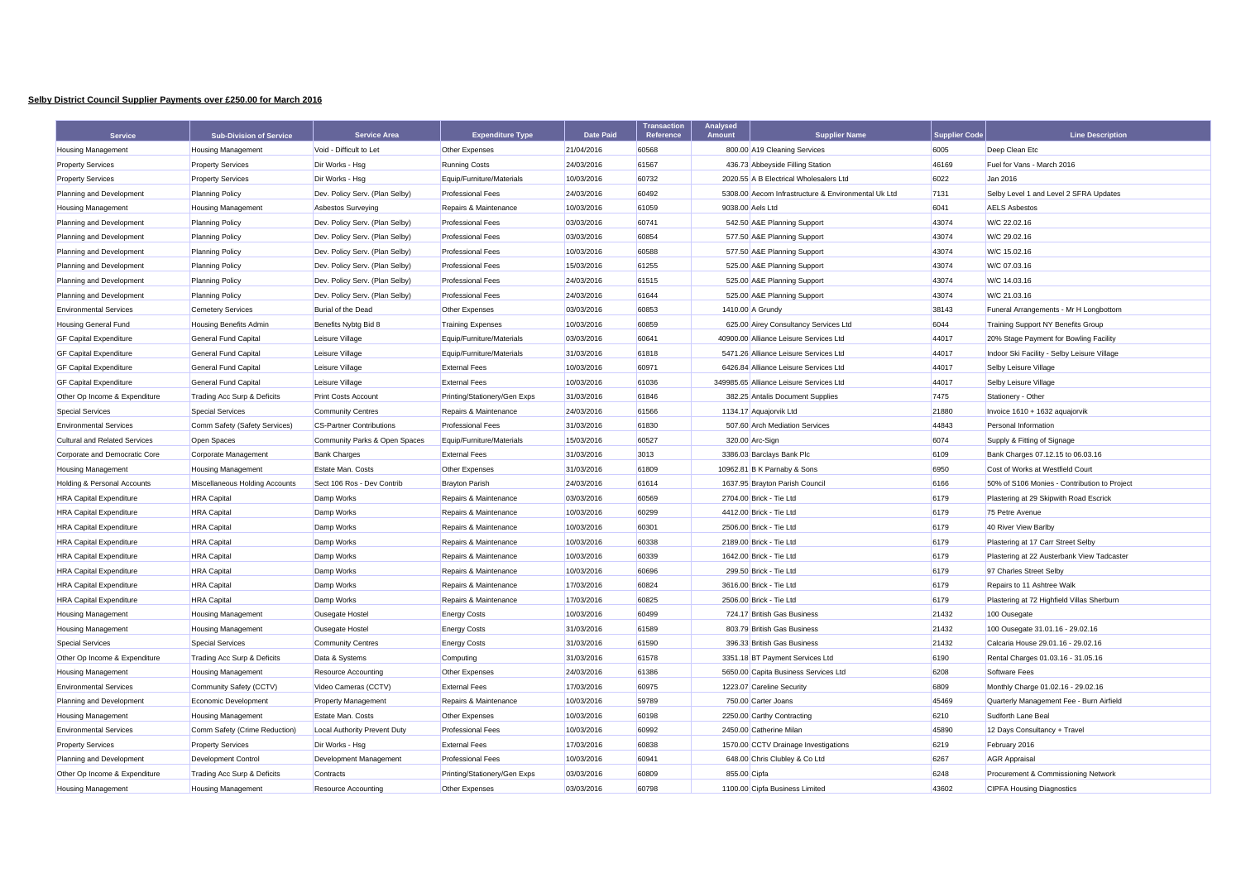## **Selby District Council Supplier Payments over £250.00 for March 2016**

| <b>Service</b>                       | <b>Sub-Division of Service</b> | <b>Service Area</b>             | <b>Expenditure Type</b>      | <b>Date Paid</b> | <b>Transaction</b><br>Reference | <b>Analysed</b><br>Amount | <b>Supplier Name</b>                                | <b>Supplier Code</b> | <b>Line Description</b>                      |
|--------------------------------------|--------------------------------|---------------------------------|------------------------------|------------------|---------------------------------|---------------------------|-----------------------------------------------------|----------------------|----------------------------------------------|
| <b>Housing Management</b>            | <b>Housing Management</b>      | Void - Difficult to Let         | Other Expenses               | 21/04/2016       | 60568                           |                           | 800.00 A19 Cleaning Services                        | 6005                 | Deep Clean Etc                               |
| <b>Property Services</b>             | <b>Property Services</b>       | Dir Works - Hsg                 | <b>Running Costs</b>         | 24/03/2016       | 61567                           |                           | 436.73 Abbeyside Filling Station                    | 46169                | Fuel for Vans - March 2016                   |
| <b>Property Services</b>             | <b>Property Services</b>       | Dir Works - Hsg                 | Equip/Furniture/Materials    | 10/03/2016       | 60732                           |                           | 2020.55 A B Electrical Wholesalers Ltd              | 6022                 | Jan 2016                                     |
| Planning and Development             | <b>Planning Policy</b>         | Dev. Policy Serv. (Plan Selby)  | <b>Professional Fees</b>     | 24/03/2016       | 60492                           |                           | 5308.00 Aecom Infrastructure & Environmental Uk Ltd | 7131                 | Selby Level 1 and Level 2 SFRA Updates       |
| <b>Housing Management</b>            | <b>Housing Management</b>      | Asbestos Surveying              | Repairs & Maintenance        | 10/03/2016       | 61059                           |                           | 9038.00 Aels Ltd                                    | 6041                 | <b>AELS Asbestos</b>                         |
| Planning and Development             | <b>Planning Policy</b>         | Dev. Policy Serv. (Plan Selby)  | <b>Professional Fees</b>     | 03/03/2016       | 60741                           |                           | 542.50 A&E Planning Support                         | 43074                | W/C 22.02.16                                 |
| Planning and Development             | Planning Policy                | Dev. Policy Serv. (Plan Selby)  | <b>Professional Fees</b>     | 03/03/2016       | 60854                           |                           | 577.50 A&E Planning Support                         | 43074                | W/C 29.02.16                                 |
| Planning and Development             | <b>Planning Policy</b>         | Dev. Policy Serv. (Plan Selby)  | <b>Professional Fees</b>     | 10/03/2016       | 60588                           |                           | 577.50 A&E Planning Support                         | 43074                | W/C 15.02.16                                 |
| Planning and Development             | <b>Planning Policy</b>         | Dev. Policy Serv. (Plan Selby)  | <b>Professional Fees</b>     | 15/03/2016       | 61255                           |                           | 525.00 A&E Planning Support                         | 43074                | W/C 07.03.16                                 |
| Planning and Development             | <b>Planning Policy</b>         | Dev. Policy Serv. (Plan Selby)  | <b>Professional Fees</b>     | 24/03/2016       | 61515                           |                           | 525.00 A&E Planning Support                         | 43074                | W/C 14.03.16                                 |
| Planning and Development             | <b>Planning Policy</b>         | Dev. Policy Serv. (Plan Selby)  | <b>Professional Fees</b>     | 24/03/2016       | 61644                           |                           | 525.00 A&E Planning Support                         | 43074                | W/C 21.03.16                                 |
| <b>Environmental Services</b>        | <b>Cemetery Services</b>       | Burial of the Dead              | Other Expenses               | 03/03/2016       | 60853                           |                           | 1410.00 A Grundy                                    | 38143                | Funeral Arrangements - Mr H Longbottom       |
| <b>Housing General Fund</b>          | Housing Benefits Admin         | Benefits Nybtg Bid 8            | <b>Training Expenses</b>     | 10/03/2016       | 60859                           |                           | 625.00 Airey Consultancy Services Ltd               | 6044                 | Training Support NY Benefits Group           |
| <b>GF Capital Expenditure</b>        | General Fund Capital           | Leisure Village                 | Equip/Furniture/Materials    | 03/03/2016       | 60641                           |                           | 40900.00 Alliance Leisure Services Ltd              | 44017                | 20% Stage Payment for Bowling Facility       |
| <b>GF Capital Expenditure</b>        | General Fund Capital           | Leisure Village                 | Equip/Furniture/Materials    | 31/03/2016       | 61818                           |                           | 5471.26 Alliance Leisure Services Ltd               | 44017                | Indoor Ski Facility - Selby Leisure Village  |
| <b>GF Capital Expenditure</b>        | General Fund Capital           | Leisure Village                 | <b>External Fees</b>         | 10/03/2016       | 60971                           |                           | 6426.84 Alliance Leisure Services Ltd               | 44017                | Selby Leisure Village                        |
| <b>GF Capital Expenditure</b>        | General Fund Capital           | Leisure Village                 | <b>External Fees</b>         | 10/03/2016       | 61036                           |                           | 349985.65 Alliance Leisure Services Ltd             | 44017                | Selby Leisure Village                        |
| Other Op Income & Expenditure        | Trading Acc Surp & Deficits    | Print Costs Account             | Printing/Stationery/Gen Exps | 31/03/2016       | 61846                           |                           | 382.25 Antalis Document Supplies                    | 7475                 | Stationery - Other                           |
| <b>Special Services</b>              | <b>Special Services</b>        | <b>Community Centres</b>        | Repairs & Maintenance        | 24/03/2016       | 61566                           |                           | 1134.17 Aquajorvik Ltd                              | 21880                | Invoice 1610 + 1632 aquajorvik               |
| <b>Environmental Services</b>        | Comm Safety (Safety Services)  | <b>CS-Partner Contributions</b> | <b>Professional Fees</b>     | 31/03/2016       | 61830                           |                           | 507.60 Arch Mediation Services                      | 44843                | Personal Information                         |
| <b>Cultural and Related Services</b> | Open Spaces                    | Community Parks & Open Spaces   | Equip/Furniture/Materials    | 15/03/2016       | 60527                           |                           | 320.00 Arc-Sign                                     | 6074                 | Supply & Fitting of Signage                  |
| Corporate and Democratic Core        | Corporate Management           | <b>Bank Charges</b>             | <b>External Fees</b>         | 31/03/2016       | 3013                            |                           | 3386.03 Barclays Bank Plc                           | 6109                 | Bank Charges 07.12.15 to 06.03.16            |
| <b>Housing Management</b>            | <b>Housing Management</b>      | Estate Man. Costs               | Other Expenses               | 31/03/2016       | 61809                           |                           | 10962.81 B K Parnaby & Sons                         | 6950                 | Cost of Works at Westfield Court             |
| Holding & Personal Accounts          | Miscellaneous Holding Accounts | Sect 106 Ros - Dev Contrib      | <b>Brayton Parish</b>        | 24/03/2016       | 61614                           |                           | 1637.95 Brayton Parish Council                      | 6166                 | 50% of S106 Monies - Contribution to Project |
| <b>HRA Capital Expenditure</b>       | <b>HRA</b> Capital             | Damp Works                      | Repairs & Maintenance        | 03/03/2016       | 60569                           |                           | 2704.00 Brick - Tie Ltd                             | 6179                 | Plastering at 29 Skipwith Road Escrick       |
| <b>HRA Capital Expenditure</b>       | <b>HRA</b> Capital             | Damp Works                      | Repairs & Maintenance        | 10/03/2016       | 60299                           |                           | 4412.00 Brick - Tie Ltd                             | 6179                 | 75 Petre Avenue                              |
| <b>HRA Capital Expenditure</b>       | <b>HRA</b> Capital             | Damp Works                      | Repairs & Maintenance        | 10/03/2016       | 60301                           |                           | 2506.00 Brick - Tie Ltd                             | 6179                 | 40 River View Barlby                         |
| <b>HRA Capital Expenditure</b>       | <b>HRA</b> Capital             | Damp Works                      | Repairs & Maintenance        | 10/03/2016       | 60338                           |                           | 2189.00 Brick - Tie Ltd                             | 6179                 | Plastering at 17 Carr Street Selby           |
| <b>HRA Capital Expenditure</b>       | <b>HRA</b> Capital             | Damp Works                      | Repairs & Maintenance        | 10/03/2016       | 60339                           |                           | 1642.00 Brick - Tie Ltd                             | 6179                 | Plastering at 22 Austerbank View Tadcaster   |
| <b>HRA Capital Expenditure</b>       | <b>HRA</b> Capital             | Damp Works                      | Repairs & Maintenance        | 10/03/2016       | 60696                           |                           | 299.50 Brick - Tie Ltd                              | 6179                 | 97 Charles Street Selby                      |
| <b>HRA Capital Expenditure</b>       | <b>HRA</b> Capital             | Damp Works                      | Repairs & Maintenance        | 17/03/2016       | 60824                           |                           | 3616.00 Brick - Tie Ltd                             | 6179                 | Repairs to 11 Ashtree Walk                   |
| <b>HRA Capital Expenditure</b>       | <b>HRA</b> Capital             | Damp Works                      | Repairs & Maintenance        | 17/03/2016       | 60825                           |                           | 2506.00 Brick - Tie Ltd                             | 6179                 | Plastering at 72 Highfield Villas Sherburn   |
| <b>Housing Management</b>            | <b>Housing Management</b>      | Ousegate Hostel                 | <b>Energy Costs</b>          | 10/03/2016       | 60499                           |                           | 724.17 British Gas Business                         | 21432                | 100 Ousegate                                 |
| <b>Housing Management</b>            | <b>Housing Management</b>      | Ousegate Hostel                 | <b>Energy Costs</b>          | 31/03/2016       | 61589                           |                           | 803.79 British Gas Business                         | 21432                | 100 Ousegate 31.01.16 - 29.02.16             |
| <b>Special Services</b>              | Special Services               | <b>Community Centres</b>        | <b>Energy Costs</b>          | 31/03/2016       | 61590                           |                           | 396.33 British Gas Business                         | 21432                | Calcaria House 29.01.16 - 29.02.16           |
| Other Op Income & Expenditure        | Trading Acc Surp & Deficits    | Data & Systems                  | Computing                    | 31/03/2016       | 61578                           |                           | 3351.18 BT Payment Services Ltd                     | 6190                 | Rental Charges 01.03.16 - 31.05.16           |
| <b>Housing Management</b>            | <b>Housing Management</b>      | Resource Accounting             | Other Expenses               | 24/03/2016       | 61386                           |                           | 5650.00 Capita Business Services Ltd                | 6208                 | Software Fees                                |
| <b>Environmental Services</b>        | Community Safety (CCTV)        | Video Cameras (CCTV)            | <b>External Fees</b>         | 17/03/2016       | 60975                           |                           | 1223.07 Careline Security                           | 6809                 | Monthly Charge 01.02.16 - 29.02.16           |
| Planning and Development             | Economic Development           | <b>Property Management</b>      | Repairs & Maintenance        | 10/03/2016       | 59789                           |                           | 750.00 Carter Joans                                 | 45469                | Quarterly Management Fee - Burn Airfield     |
| <b>Housing Management</b>            | <b>Housing Management</b>      | Estate Man. Costs               | Other Expenses               | 10/03/2016       | 60198                           |                           | 2250.00 Carthy Contracting                          | 6210                 | Sudforth Lane Beal                           |
| <b>Environmental Services</b>        | Comm Safety (Crime Reduction)  | Local Authority Prevent Duty    | <b>Professional Fees</b>     | 10/03/2016       | 60992                           |                           | 2450.00 Catherine Milan                             | 45890                | 12 Days Consultancy + Travel                 |
| <b>Property Services</b>             | <b>Property Services</b>       | Dir Works - Hsa                 | <b>External Fees</b>         | 17/03/2016       | 60838                           |                           | 1570.00 CCTV Drainage Investigations                | 6219                 | February 2016                                |
| Planning and Development             | Development Control            | Development Management          | <b>Professional Fees</b>     | 10/03/2016       | 60941                           |                           | 648.00 Chris Clubley & Co Ltd                       | 6267                 | <b>AGR Appraisal</b>                         |
| Other Op Income & Expenditure        | Trading Acc Surp & Deficits    | Contracts                       | Printing/Stationery/Gen Exps | 03/03/2016       | 60809                           | 855.00 Cipfa              |                                                     | 6248                 | Procurement & Commissioning Network          |
| <b>Housing Management</b>            | <b>Housing Management</b>      | Resource Accounting             | Other Expenses               | 03/03/2016       | 60798                           |                           | 1100.00 Cipfa Business Limited                      | 43602                | <b>CIPFA Housing Diagnostics</b>             |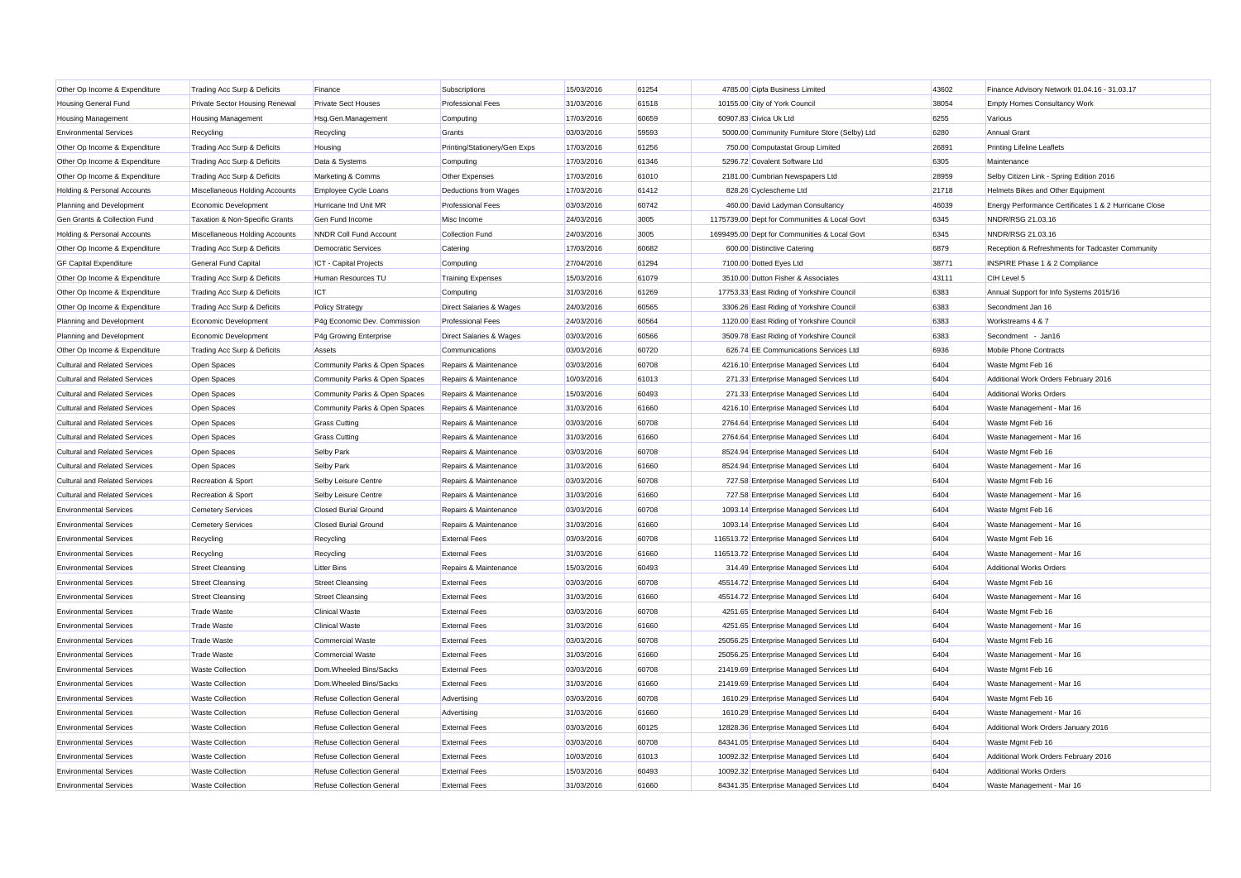| Other Op Income & Expenditure        | Trading Acc Surp & Deficits    | Finance                          | Subscriptions                | 15/03/2016 | 61254 | 4785.00 Cipfa Business Limited                | 43602 | Finance Advisory Network 01.04.16 - 31.03.17          |
|--------------------------------------|--------------------------------|----------------------------------|------------------------------|------------|-------|-----------------------------------------------|-------|-------------------------------------------------------|
| <b>Housing General Fund</b>          | Private Sector Housing Renewal | <b>Private Sect Houses</b>       | <b>Professional Fees</b>     | 31/03/2016 | 61518 | 10155.00 City of York Council                 | 38054 | Empty Homes Consultancy Work                          |
| <b>Housing Management</b>            | <b>Housing Management</b>      | Hsg.Gen.Management               | Computing                    | 17/03/2016 | 60659 | 60907.83 Civica Uk Ltd                        | 6255  | Various                                               |
| <b>Environmental Services</b>        | Recycling                      | Recycling                        | Grants                       | 03/03/2016 | 59593 | 5000.00 Community Furniture Store (Selby) Ltd | 6280  | <b>Annual Grant</b>                                   |
| Other Op Income & Expenditure        | Trading Acc Surp & Deficits    | Housing                          | Printing/Stationery/Gen Exps | 17/03/2016 | 61256 | 750.00 Computastat Group Limited              | 26891 | <b>Printing Lifeline Leaflets</b>                     |
| Other Op Income & Expenditure        | Trading Acc Surp & Deficits    | Data & Systems                   | Computing                    | 17/03/2016 | 61346 | 5296.72 Covalent Software Ltd                 | 6305  | Maintenance                                           |
| Other Op Income & Expenditure        | Trading Acc Surp & Deficits    | Marketing & Comms                | Other Expenses               | 17/03/2016 | 61010 | 2181.00 Cumbrian Newspapers Ltd               | 28959 | Selby Citizen Link - Spring Edition 2016              |
| Holding & Personal Accounts          | Miscellaneous Holding Accounts | Employee Cycle Loans             | Deductions from Wages        | 17/03/2016 | 61412 | 828.26 Cyclescheme Ltd                        | 21718 | Helmets Bikes and Other Equipment                     |
| Planning and Development             | Economic Development           | Hurricane Ind Unit MR            | <b>Professional Fees</b>     | 03/03/2016 | 60742 | 460.00 David Ladyman Consultancy              | 46039 | Energy Performance Certificates 1 & 2 Hurricane Close |
| Gen Grants & Collection Fund         | Taxation & Non-Specific Grants | Gen Fund Income                  | Misc Income                  | 24/03/2016 | 3005  | 1175739.00 Dept for Communities & Local Govt  | 6345  | NNDR/RSG 21.03.16                                     |
| Holding & Personal Accounts          | Miscellaneous Holding Accounts | <b>NNDR Coll Fund Account</b>    | <b>Collection Fund</b>       | 24/03/2016 | 3005  | 1699495.00 Dept for Communities & Local Govt  | 6345  | NNDR/RSG 21.03.16                                     |
| Other Op Income & Expenditure        | Trading Acc Surp & Deficits    | <b>Democratic Services</b>       | Catering                     | 17/03/2016 | 60682 | 600.00 Distinctive Catering                   | 6879  | Reception & Refreshments for Tadcaster Community      |
| <b>GF Capital Expenditure</b>        | General Fund Capital           | ICT - Capital Projects           | Computing                    | 27/04/2016 | 61294 | 7100.00 Dotted Eyes Ltd                       | 38771 | INSPIRE Phase 1 & 2 Compliance                        |
| Other Op Income & Expenditure        | Trading Acc Surp & Deficits    | Human Resources TU               | <b>Training Expenses</b>     | 15/03/2016 | 61079 | 3510.00 Dutton Fisher & Associates            | 43111 | CIH Level 5                                           |
| Other Op Income & Expenditure        | Trading Acc Surp & Deficits    | <b>ICT</b>                       | Computing                    | 31/03/2016 | 61269 | 17753.33 East Riding of Yorkshire Council     | 6383  | Annual Support for Info Systems 2015/16               |
| Other Op Income & Expenditure        | Trading Acc Surp & Deficits    | <b>Policy Strategy</b>           | Direct Salaries & Wages      | 24/03/2016 | 60565 | 3306.26 East Riding of Yorkshire Council      | 6383  | Secondment Jan 16                                     |
| Planning and Development             | Economic Development           | P4g Economic Dev. Commission     | <b>Professional Fees</b>     | 24/03/2016 | 60564 | 1120.00 East Riding of Yorkshire Council      | 6383  | Workstreams 4 & 7                                     |
| Planning and Development             | Economic Development           | P4g Growing Enterprise           | Direct Salaries & Wages      | 03/03/2016 | 60566 | 3509.78 East Riding of Yorkshire Council      | 6383  | Secondment - Jan16                                    |
| Other Op Income & Expenditure        | Trading Acc Surp & Deficits    | Assets                           | Communications               | 03/03/2016 | 60720 | 626.74 EE Communications Services Ltd         | 6936  | Mobile Phone Contracts                                |
| <b>Cultural and Related Services</b> | Open Spaces                    | Community Parks & Open Spaces    | Repairs & Maintenance        | 03/03/2016 | 60708 | 4216.10 Enterprise Managed Services Ltd       | 6404  | Waste Mgmt Feb 16                                     |
| <b>Cultural and Related Services</b> | Open Spaces                    | Community Parks & Open Spaces    | Repairs & Maintenance        | 10/03/2016 | 61013 | 271.33 Enterprise Managed Services Ltd        | 6404  | Additional Work Orders February 2016                  |
| <b>Cultural and Related Services</b> | Open Spaces                    | Community Parks & Open Spaces    | Repairs & Maintenance        | 15/03/2016 | 60493 | 271.33 Enterprise Managed Services Ltd        | 6404  | <b>Additional Works Orders</b>                        |
| <b>Cultural and Related Services</b> | Open Spaces                    | Community Parks & Open Spaces    | Repairs & Maintenance        | 31/03/2016 | 61660 | 4216.10 Enterprise Managed Services Ltd       | 6404  | Waste Management - Mar 16                             |
| <b>Cultural and Related Services</b> | Open Spaces                    | <b>Grass Cutting</b>             | Repairs & Maintenance        | 03/03/2016 | 60708 | 2764.64 Enterprise Managed Services Ltd       | 6404  | Waste Mgmt Feb 16                                     |
| <b>Cultural and Related Services</b> | Open Spaces                    | <b>Grass Cutting</b>             | Repairs & Maintenance        | 31/03/2016 | 61660 | 2764.64 Enterprise Managed Services Ltd       | 6404  | Waste Management - Mar 16                             |
| <b>Cultural and Related Services</b> | Open Spaces                    | Selby Park                       | Repairs & Maintenance        | 03/03/2016 | 60708 | 8524.94 Enterprise Managed Services Ltd       | 6404  | Waste Mgmt Feb 16                                     |
| <b>Cultural and Related Services</b> | Open Spaces                    | Selby Park                       | Repairs & Maintenance        | 31/03/2016 | 61660 | 8524.94 Enterprise Managed Services Ltd       | 6404  | Waste Management - Mar 16                             |
| <b>Cultural and Related Services</b> | Recreation & Sport             | Selby Leisure Centre             | Repairs & Maintenance        | 03/03/2016 | 60708 | 727.58 Enterprise Managed Services Ltd        | 6404  | Waste Mgmt Feb 16                                     |
| <b>Cultural and Related Services</b> | Recreation & Sport             | Selby Leisure Centre             | Repairs & Maintenance        | 31/03/2016 | 61660 | 727.58 Enterprise Managed Services Ltd        | 6404  | Waste Management - Mar 16                             |
| <b>Environmental Services</b>        | <b>Cemetery Services</b>       | <b>Closed Burial Ground</b>      | Repairs & Maintenance        | 03/03/2016 | 60708 | 1093.14 Enterprise Managed Services Ltd       | 6404  | Waste Mgmt Feb 16                                     |
| <b>Environmental Services</b>        | <b>Cemetery Services</b>       | <b>Closed Burial Ground</b>      | Repairs & Maintenance        | 31/03/2016 | 61660 | 1093.14 Enterprise Managed Services Ltd       | 6404  | Waste Management - Mar 16                             |
| <b>Environmental Services</b>        | Recycling                      | Recycling                        | <b>External Fees</b>         | 03/03/2016 | 60708 | 116513.72 Enterprise Managed Services Ltd     | 6404  | Waste Mgmt Feb 16                                     |
| <b>Environmental Services</b>        | Recycling                      | Recycling                        | <b>External Fees</b>         | 31/03/2016 | 61660 | 116513.72 Enterprise Managed Services Ltd     | 6404  | Waste Management - Mar 16                             |
| <b>Environmental Services</b>        | <b>Street Cleansing</b>        | <b>Litter Bins</b>               | Repairs & Maintenance        | 15/03/2016 | 60493 | 314.49 Enterprise Managed Services Ltd        | 6404  | <b>Additional Works Orders</b>                        |
| <b>Environmental Services</b>        | <b>Street Cleansing</b>        | <b>Street Cleansing</b>          | <b>External Fees</b>         | 03/03/2016 | 60708 | 45514.72 Enterprise Managed Services Ltd      | 6404  | Waste Mgmt Feb 16                                     |
| <b>Environmental Services</b>        | <b>Street Cleansing</b>        | <b>Street Cleansing</b>          | <b>External Fees</b>         | 31/03/2016 | 61660 | 45514.72 Enterprise Managed Services Ltd      | 6404  | Waste Management - Mar 16                             |
| <b>Environmental Services</b>        | <b>Trade Waste</b>             | <b>Clinical Waste</b>            | <b>External Fees</b>         | 03/03/2016 | 60708 | 4251.65 Enterprise Managed Services Ltd       | 6404  | Waste Mgmt Feb 16                                     |
| <b>Environmental Services</b>        | <b>Trade Waste</b>             | <b>Clinical Waste</b>            | <b>External Fees</b>         | 31/03/2016 | 61660 | 4251.65 Enterprise Managed Services Ltd       | 6404  | Waste Management - Mar 16                             |
| <b>Environmental Services</b>        | <b>Trade Waste</b>             | Commercial Waste                 | <b>External Fees</b>         | 03/03/2016 | 60708 | 25056.25 Enterprise Managed Services Ltd      | 6404  | Waste Mgmt Feb 16                                     |
| <b>Environmental Services</b>        | <b>Trade Waste</b>             | Commercial Waste                 | <b>External Fees</b>         | 31/03/2016 | 61660 | 25056.25 Enterprise Managed Services Ltd      | 6404  | Waste Management - Mar 16                             |
| <b>Environmental Services</b>        | <b>Waste Collection</b>        | Dom.Wheeled Bins/Sacks           | <b>External Fees</b>         | 03/03/2016 | 60708 | 21419.69 Enterprise Managed Services Ltd      | 6404  | Waste Mgmt Feb 16                                     |
| <b>Environmental Services</b>        | <b>Waste Collection</b>        | Dom.Wheeled Bins/Sacks           | <b>External Fees</b>         | 31/03/2016 | 61660 | 21419.69 Enterprise Managed Services Ltd      | 6404  | Waste Management - Mar 16                             |
| <b>Environmental Services</b>        | <b>Waste Collection</b>        | <b>Refuse Collection General</b> | Advertising                  | 03/03/2016 | 60708 | 1610.29 Enterprise Managed Services Ltd       | 6404  | Waste Mgmt Feb 16                                     |
| <b>Environmental Services</b>        | <b>Waste Collection</b>        | <b>Refuse Collection General</b> | Advertising                  | 31/03/2016 | 61660 | 1610.29 Enterprise Managed Services Ltd       | 6404  | Waste Management - Mar 16                             |
| <b>Environmental Services</b>        | <b>Waste Collection</b>        | Refuse Collection General        | <b>External Fees</b>         | 03/03/2016 | 60125 | 12828.36 Enterprise Managed Services Ltd      | 6404  | Additional Work Orders January 2016                   |
| <b>Environmental Services</b>        | <b>Waste Collection</b>        | Refuse Collection General        | <b>External Fees</b>         | 03/03/2016 | 60708 | 84341.05 Enterprise Managed Services Ltd      | 6404  | Waste Mgmt Feb 16                                     |
| <b>Environmental Services</b>        | <b>Waste Collection</b>        | Refuse Collection General        | <b>External Fees</b>         | 10/03/2016 | 61013 | 10092.32 Enterprise Managed Services Ltd      | 6404  | Additional Work Orders February 2016                  |
| <b>Environmental Services</b>        | <b>Waste Collection</b>        | Refuse Collection General        | <b>External Fees</b>         | 15/03/2016 | 60493 | 10092.32 Enterprise Managed Services Ltd      | 6404  | <b>Additional Works Orders</b>                        |
| <b>Environmental Services</b>        | <b>Waste Collection</b>        | Refuse Collection General        | <b>External Fees</b>         | 31/03/2016 | 61660 | 84341.35 Enterprise Managed Services Ltd      | 6404  | Waste Management - Mar 16                             |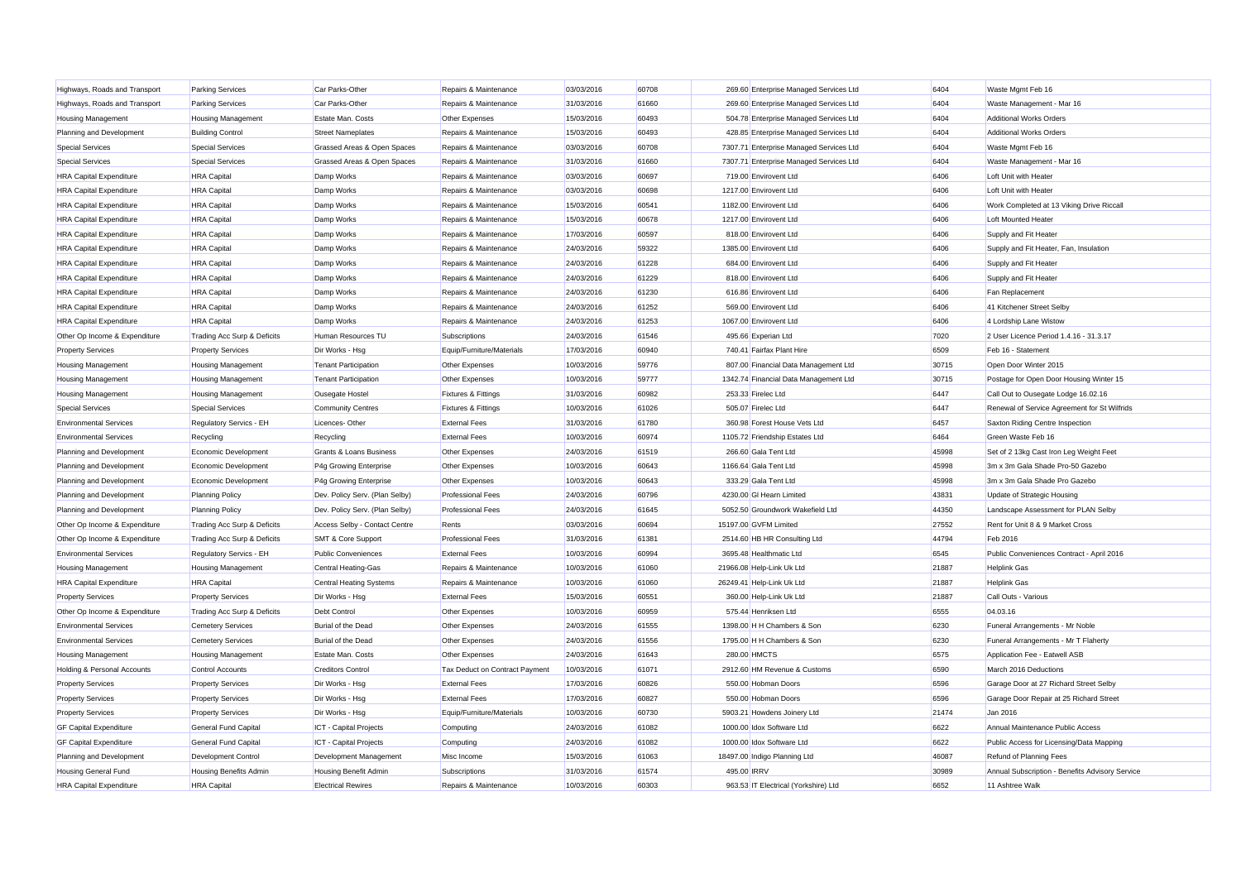| Highways, Roads and Transport  | <b>Parking Services</b>     | Car Parks-Other                | Repairs & Maintenance          | 03/03/2016 | 60708 |             | 269.60 Enterprise Managed Services Ltd  | 6404  | Waste Mgmt Feb 16                               |
|--------------------------------|-----------------------------|--------------------------------|--------------------------------|------------|-------|-------------|-----------------------------------------|-------|-------------------------------------------------|
| Highways, Roads and Transport  | <b>Parking Services</b>     | Car Parks-Other                | Repairs & Maintenance          | 31/03/2016 | 61660 |             | 269.60 Enterprise Managed Services Ltd  | 6404  | Waste Management - Mar 16                       |
| <b>Housing Management</b>      | <b>Housing Management</b>   | Estate Man, Costs              | Other Expenses                 | 15/03/2016 | 60493 |             | 504.78 Enterprise Managed Services Ltd  | 6404  | <b>Additional Works Orders</b>                  |
| Planning and Development       | <b>Building Control</b>     | <b>Street Nameplates</b>       | Repairs & Maintenance          | 15/03/2016 | 60493 |             | 428.85 Enterprise Managed Services Ltd  | 6404  | <b>Additional Works Orders</b>                  |
| <b>Special Services</b>        | <b>Special Services</b>     | Grassed Areas & Open Spaces    | Repairs & Maintenance          | 03/03/2016 | 60708 |             | 7307.71 Enterprise Managed Services Ltd | 6404  | Waste Mgmt Feb 16                               |
| <b>Special Services</b>        | <b>Special Services</b>     | Grassed Areas & Open Spaces    | Repairs & Maintenance          | 31/03/2016 | 61660 |             | 7307.71 Enterprise Managed Services Ltd | 6404  | Waste Management - Mar 16                       |
| <b>HRA Capital Expenditure</b> | <b>HRA</b> Capital          | Damp Works                     | Repairs & Maintenance          | 03/03/2016 | 60697 |             | 719.00 Envirovent Ltd                   | 6406  | Loft Unit with Heater                           |
| <b>HRA Capital Expenditure</b> | <b>HRA</b> Capital          | Damp Works                     | Repairs & Maintenance          | 03/03/2016 | 60698 |             | 1217.00 Envirovent Ltd                  | 6406  | Loft Unit with Heater                           |
| <b>HRA Capital Expenditure</b> | <b>HRA</b> Capital          | Damp Works                     | Repairs & Maintenance          | 15/03/2016 | 60541 |             | 1182.00 Envirovent Ltd                  | 6406  | Work Completed at 13 Viking Drive Riccall       |
| <b>HRA Capital Expenditure</b> | <b>HRA</b> Capital          | Damp Works                     | Repairs & Maintenance          | 15/03/2016 | 60678 |             | 1217.00 Envirovent Ltd                  | 6406  | Loft Mounted Heater                             |
| <b>HRA Capital Expenditure</b> | <b>HRA</b> Capital          | Damp Works                     | Repairs & Maintenance          | 17/03/2016 | 60597 |             | 818.00 Envirovent Ltd                   | 6406  | Supply and Fit Heater                           |
| <b>HRA Capital Expenditure</b> | <b>HRA</b> Capital          | Damp Works                     | Repairs & Maintenance          | 24/03/2016 | 59322 |             | 1385.00 Envirovent Ltd                  | 6406  | Supply and Fit Heater, Fan, Insulation          |
| <b>HRA Capital Expenditure</b> | <b>HRA</b> Capital          | Damp Works                     | Repairs & Maintenance          | 24/03/2016 | 61228 |             | 684.00 Envirovent Ltd                   | 6406  | Supply and Fit Heater                           |
| <b>HRA Capital Expenditure</b> | <b>HRA</b> Capital          | Damp Works                     | Repairs & Maintenance          | 24/03/2016 | 61229 |             | 818.00 Envirovent Ltd                   | 6406  | Supply and Fit Heater                           |
| <b>HRA Capital Expenditure</b> | <b>HRA</b> Capital          | Damp Works                     | Repairs & Maintenance          | 24/03/2016 | 61230 |             | 616.86 Envirovent Ltd                   | 6406  | Fan Replacement                                 |
| <b>HRA Capital Expenditure</b> | <b>HRA</b> Capital          | Damp Works                     | Repairs & Maintenance          | 24/03/2016 | 61252 |             | 569.00 Envirovent Ltd                   | 6406  | 41 Kitchener Street Selby                       |
| <b>HRA Capital Expenditure</b> | <b>HRA</b> Capital          | Damp Works                     | Repairs & Maintenance          | 24/03/2016 | 61253 |             | 1067.00 Envirovent Ltd                  | 6406  | 4 Lordship Lane Wistow                          |
| Other Op Income & Expenditure  | Trading Acc Surp & Deficits | Human Resources TU             | Subscriptions                  | 24/03/2016 | 61546 |             | 495.66 Experian Ltd                     | 7020  | 2 User Licence Period 1.4.16 - 31.3.17          |
| <b>Property Services</b>       | <b>Property Services</b>    | Dir Works - Hsg                | Equip/Furniture/Materials      | 17/03/2016 | 60940 |             | 740.41 Fairfax Plant Hire               | 6509  | Feb 16 - Statement                              |
| <b>Housing Management</b>      | <b>Housing Management</b>   | <b>Tenant Participation</b>    | Other Expenses                 | 10/03/2016 | 59776 |             | 807.00 Financial Data Management Ltd    | 30715 | Open Door Winter 2015                           |
| <b>Housing Management</b>      | <b>Housing Management</b>   | <b>Tenant Participation</b>    | Other Expenses                 | 10/03/2016 | 59777 |             | 1342.74 Financial Data Management Ltd   | 30715 | Postage for Open Door Housing Winter 15         |
| <b>Housing Management</b>      | <b>Housing Management</b>   | Ousegate Hostel                | <b>Fixtures &amp; Fittings</b> | 31/03/2016 | 60982 |             | 253.33 Firelec Ltd                      | 6447  | Call Out to Ousegate Lodge 16.02.16             |
| <b>Special Services</b>        | <b>Special Services</b>     | <b>Community Centres</b>       | Fixtures & Fittings            | 10/03/2016 | 61026 |             | 505.07 Firelec Ltd                      | 6447  | Renewal of Service Agreement for St Wilfrids    |
| <b>Environmental Services</b>  | Regulatory Servics - EH     | Licences-Other                 | <b>External Fees</b>           | 31/03/2016 | 61780 |             | 360.98 Forest House Vets Ltd            | 6457  | Saxton Riding Centre Inspection                 |
| <b>Environmental Services</b>  | Recycling                   | Recycling                      | <b>External Fees</b>           | 10/03/2016 | 60974 |             | 1105.72 Friendship Estates Ltd          | 6464  | Green Waste Feb 16                              |
| Planning and Development       | Economic Development        | Grants & Loans Business        | Other Expenses                 | 24/03/2016 | 61519 |             | 266.60 Gala Tent Ltd                    | 45998 | Set of 2 13kg Cast Iron Leg Weight Feet         |
| Planning and Development       | Economic Development        | P4g Growing Enterprise         | Other Expenses                 | 10/03/2016 | 60643 |             | 1166.64 Gala Tent Ltd                   | 45998 | 3m x 3m Gala Shade Pro-50 Gazebo                |
| Planning and Development       | Economic Development        | P4g Growing Enterprise         | Other Expenses                 | 10/03/2016 | 60643 |             | 333.29 Gala Tent Ltd                    | 45998 | 3m x 3m Gala Shade Pro Gazebo                   |
| Planning and Development       | <b>Planning Policy</b>      | Dev. Policy Serv. (Plan Selby) | <b>Professional Fees</b>       | 24/03/2016 | 60796 |             | 4230.00 GI Hearn Limited                | 43831 | Update of Strategic Housing                     |
| Planning and Development       | <b>Planning Policy</b>      | Dev. Policy Serv. (Plan Selby) | <b>Professional Fees</b>       | 24/03/2016 | 61645 |             | 5052.50 Groundwork Wakefield Ltd        | 44350 | Landscape Assessment for PLAN Selby             |
| Other Op Income & Expenditure  | Trading Acc Surp & Deficits | Access Selby - Contact Centre  | Rents                          | 03/03/2016 | 60694 |             | 15197.00 GVFM Limited                   | 27552 | Rent for Unit 8 & 9 Market Cross                |
| Other Op Income & Expenditure  | Trading Acc Surp & Deficits | <b>SMT &amp; Core Support</b>  | <b>Professional Fees</b>       | 31/03/2016 | 61381 |             | 2514.60 HB HR Consulting Ltd            | 44794 | Feb 2016                                        |
| <b>Environmental Services</b>  | Regulatory Servics - EH     | <b>Public Conveniences</b>     | <b>External Fees</b>           | 10/03/2016 | 60994 |             | 3695.48 Healthmatic Ltd                 | 6545  | Public Conveniences Contract - April 2016       |
| <b>Housing Management</b>      | <b>Housing Management</b>   | Central Heating-Gas            | Repairs & Maintenance          | 10/03/2016 | 61060 |             | 21966.08 Help-Link Uk Ltd               | 21887 | <b>Helplink Gas</b>                             |
| <b>HRA Capital Expenditure</b> | <b>HRA</b> Capital          | Central Heating Systems        | Repairs & Maintenance          | 10/03/2016 | 61060 |             | 26249.41 Help-Link Uk Ltd               | 21887 | <b>Helplink Gas</b>                             |
| <b>Property Services</b>       | <b>Property Services</b>    | Dir Works - Hsg                | <b>External Fees</b>           | 15/03/2016 | 60551 |             | 360.00 Help-Link Uk Ltd                 | 21887 | Call Outs - Various                             |
| Other Op Income & Expenditure  | Trading Acc Surp & Deficits | Debt Control                   | Other Expenses                 | 10/03/2016 | 60959 |             | 575.44 Henriksen Ltd                    | 6555  | 04.03.16                                        |
| <b>Environmental Services</b>  | <b>Cemetery Services</b>    | Burial of the Dead             | Other Expenses                 | 24/03/2016 | 61555 |             | 1398.00 H H Chambers & Son              | 6230  | Funeral Arrangements - Mr Noble                 |
| <b>Environmental Services</b>  | <b>Cemetery Services</b>    | Burial of the Dead             | Other Expenses                 | 24/03/2016 | 61556 |             | 1795.00 H H Chambers & Son              | 6230  | Funeral Arrangements - Mr T Flaherty            |
| <b>Housing Management</b>      | <b>Housing Management</b>   | Estate Man. Costs              | Other Expenses                 | 24/03/2016 | 61643 |             | 280.00 HMCTS                            | 6575  | Application Fee - Eatwell ASB                   |
| Holding & Personal Accounts    | Control Accounts            | <b>Creditors Control</b>       | Tax Deduct on Contract Payment | 10/03/2016 | 61071 |             | 2912.60 HM Revenue & Customs            | 6590  | March 2016 Deductions                           |
| <b>Property Services</b>       | <b>Property Services</b>    | Dir Works - Hsg                | <b>External Fees</b>           | 17/03/2016 | 60826 |             | 550.00 Hobman Doors                     | 6596  | Garage Door at 27 Richard Street Selby          |
| <b>Property Services</b>       | <b>Property Services</b>    | Dir Works - Hsg                | <b>External Fees</b>           | 17/03/2016 | 60827 |             | 550.00 Hobman Doors                     | 6596  | Garage Door Repair at 25 Richard Street         |
| <b>Property Services</b>       | <b>Property Services</b>    | Dir Works - Hsg                | Equip/Furniture/Materials      | 10/03/2016 | 60730 |             | 5903.21 Howdens Joinery Ltd             | 21474 | Jan 2016                                        |
| <b>GF Capital Expenditure</b>  | General Fund Capital        | ICT - Capital Projects         | Computing                      | 24/03/2016 | 61082 |             | 1000.00 Idox Software Ltd               | 6622  | Annual Maintenance Public Access                |
| <b>GF Capital Expenditure</b>  | General Fund Capital        | ICT - Capital Projects         | Computing                      | 24/03/2016 | 61082 |             | 1000.00 Idox Software Ltd               | 6622  | Public Access for Licensing/Data Mapping        |
| Planning and Development       | <b>Development Control</b>  | Development Management         | Misc Income                    | 15/03/2016 | 61063 |             | 18497.00 Indigo Planning Ltd            | 46087 | Refund of Planning Fees                         |
| <b>Housing General Fund</b>    | Housing Benefits Admin      | Housing Benefit Admin          | Subscriptions                  | 31/03/2016 | 61574 | 495.00 IRRV |                                         | 30989 | Annual Subscription - Benefits Advisory Service |
| <b>HRA Capital Expenditure</b> | <b>HRA</b> Capital          | <b>Electrical Rewires</b>      | Repairs & Maintenance          | 10/03/2016 | 60303 |             | 963.53 IT Electrical (Yorkshire) Ltd    | 6652  | 11 Ashtree Walk                                 |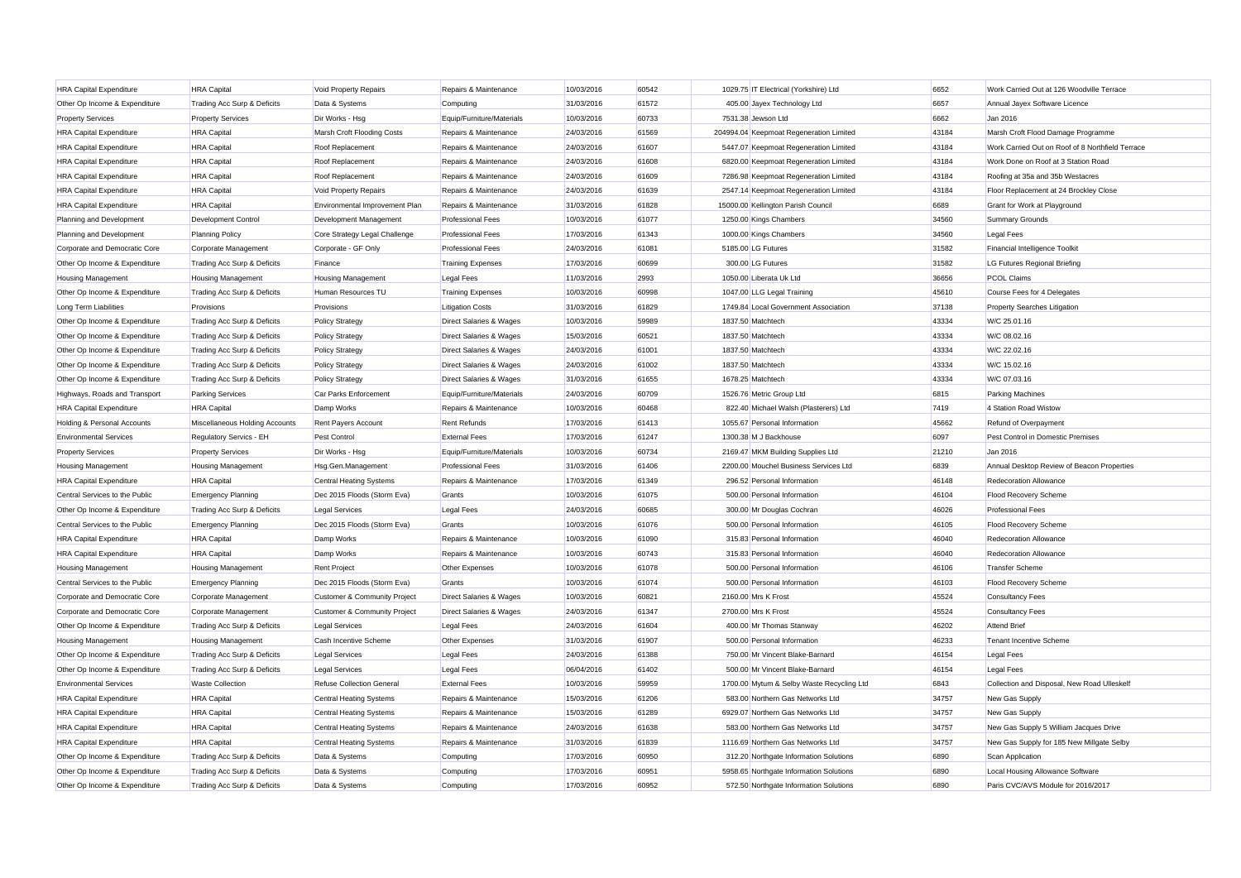| <b>HRA Capital Expenditure</b> | <b>HRA</b> Capital             | Void Property Repairs            | Repairs & Maintenance              | 10/03/2016 | 60542 | 1029.75 IT Electrical (Yorkshire) Ltd     | 6652  | Work Carried Out at 126 Woodville Terrace        |
|--------------------------------|--------------------------------|----------------------------------|------------------------------------|------------|-------|-------------------------------------------|-------|--------------------------------------------------|
| Other Op Income & Expenditure  | Trading Acc Surp & Deficits    | Data & Systems                   | Computing                          | 31/03/2016 | 61572 | 405.00 Jayex Technology Ltd               | 6657  | Annual Jayex Software Licence                    |
| <b>Property Services</b>       | <b>Property Services</b>       | Dir Works - Hsg                  | Equip/Furniture/Materials          | 10/03/2016 | 60733 | 7531.38 Jewson Ltd                        | 6662  | Jan 2016                                         |
| <b>HRA Capital Expenditure</b> | <b>HRA</b> Capital             | Marsh Croft Flooding Costs       | Repairs & Maintenance              | 24/03/2016 | 61569 | 204994.04 Keepmoat Regeneration Limited   | 43184 | Marsh Croft Flood Damage Programme               |
| <b>HRA Capital Expenditure</b> | <b>HRA</b> Capital             | Roof Replacement                 | Repairs & Maintenance              | 24/03/2016 | 61607 | 5447.07 Keepmoat Regeneration Limited     | 43184 | Work Carried Out on Roof of 8 Northfield Terrace |
| <b>HRA Capital Expenditure</b> | <b>HRA</b> Capital             | Roof Replacement                 | Repairs & Maintenance              | 24/03/2016 | 61608 | 6820.00 Keepmoat Regeneration Limited     | 43184 | Work Done on Roof at 3 Station Road              |
| <b>HRA Capital Expenditure</b> | <b>HRA</b> Capital             | Roof Replacement                 | Repairs & Maintenance              | 24/03/2016 | 61609 | 7286.98 Keepmoat Regeneration Limited     | 43184 | Roofing at 35a and 35b Westacres                 |
| <b>HRA Capital Expenditure</b> | <b>HRA</b> Capital             | Void Property Repairs            | Repairs & Maintenance              | 24/03/2016 | 61639 | 2547.14 Keepmoat Regeneration Limited     | 43184 | Floor Replacement at 24 Brockley Close           |
| <b>HRA Capital Expenditure</b> | <b>HRA</b> Capital             | Environmental Improvement Plan   | Repairs & Maintenance              | 31/03/2016 | 61828 | 15000.00 Kellington Parish Council        | 6689  | Grant for Work at Playground                     |
| Planning and Development       | <b>Development Control</b>     | Development Management           | <b>Professional Fees</b>           | 10/03/2016 | 61077 | 1250.00 Kings Chambers                    | 34560 | <b>Summary Grounds</b>                           |
| Planning and Development       | <b>Planning Policy</b>         | Core Strategy Legal Challenge    | <b>Professional Fees</b>           | 17/03/2016 | 61343 | 1000.00 Kings Chambers                    | 34560 | Legal Fees                                       |
| Corporate and Democratic Core  | Corporate Management           | Corporate - GF Only              | <b>Professional Fees</b>           | 24/03/2016 | 61081 | 5185.00 LG Futures                        | 31582 | Financial Intelligence Toolkit                   |
| Other Op Income & Expenditure  | Trading Acc Surp & Deficits    | Finance                          | <b>Training Expenses</b>           | 17/03/2016 | 60699 | 300.00 LG Futures                         | 31582 | LG Futures Regional Briefing                     |
| <b>Housing Management</b>      | <b>Housing Management</b>      | <b>Housing Management</b>        | <b>Legal Fees</b>                  | 11/03/2016 | 2993  | 1050.00 Liberata Uk Ltd                   | 36656 | <b>PCOL Claims</b>                               |
| Other Op Income & Expenditure  | Trading Acc Surp & Deficits    | Human Resources TU               | <b>Training Expenses</b>           | 10/03/2016 | 60998 | 1047.00 LLG Legal Training                | 45610 | Course Fees for 4 Delegates                      |
| Long Term Liabilities          | Provisions                     | Provisions                       | <b>Litigation Costs</b>            | 31/03/2016 | 61829 | 1749.84 Local Government Association      | 37138 | Property Searches Litigation                     |
| Other Op Income & Expenditure  | Trading Acc Surp & Deficits    | <b>Policy Strategy</b>           | Direct Salaries & Wages            | 10/03/2016 | 59989 | 1837.50 Matchtech                         | 43334 | W/C 25.01.16                                     |
| Other Op Income & Expenditure  | Trading Acc Surp & Deficits    | <b>Policy Strategy</b>           | Direct Salaries & Wages            | 15/03/2016 | 60521 | 1837.50 Matchtech                         | 43334 | W/C 08.02.16                                     |
| Other Op Income & Expenditure  | Trading Acc Surp & Deficits    | <b>Policy Strategy</b>           | Direct Salaries & Wages            | 24/03/2016 | 61001 | 1837.50 Matchtech                         | 43334 | W/C 22.02.16                                     |
| Other Op Income & Expenditure  | Trading Acc Surp & Deficits    | <b>Policy Strategy</b>           | Direct Salaries & Wages            | 24/03/2016 | 61002 | 1837.50 Matchtech                         | 43334 | W/C 15.02.16                                     |
| Other Op Income & Expenditure  | Trading Acc Surp & Deficits    | <b>Policy Strategy</b>           | <b>Direct Salaries &amp; Wages</b> | 31/03/2016 | 61655 | 1678.25 Matchtech                         | 43334 | W/C 07.03.16                                     |
| Highways, Roads and Transport  | <b>Parking Services</b>        | Car Parks Enforcement            | Equip/Furniture/Materials          | 24/03/2016 | 60709 | 1526.76 Metric Group Ltd                  | 6815  | <b>Parking Machines</b>                          |
| <b>HRA Capital Expenditure</b> | <b>HRA</b> Capital             | Damp Works                       | Repairs & Maintenance              | 10/03/2016 | 60468 | 822.40 Michael Walsh (Plasterers) Ltd     | 7419  | 4 Station Road Wistow                            |
| Holding & Personal Accounts    | Miscellaneous Holding Accounts | Rent Payers Account              | <b>Rent Refunds</b>                | 17/03/2016 | 61413 | 1055.67 Personal Information              | 45662 | Refund of Overpayment                            |
| <b>Environmental Services</b>  | Regulatory Servics - EH        | Pest Control                     | <b>External Fees</b>               | 17/03/2016 | 61247 | 1300.38 M J Backhouse                     | 6097  | Pest Control in Domestic Premises                |
| <b>Property Services</b>       | <b>Property Services</b>       | Dir Works - Hsg                  | Equip/Furniture/Materials          | 10/03/2016 | 60734 | 2169.47 MKM Building Supplies Ltd         | 21210 | Jan 2016                                         |
| <b>Housing Management</b>      | <b>Housing Management</b>      | Hsg.Gen.Management               | <b>Professional Fees</b>           | 31/03/2016 | 61406 | 2200.00 Mouchel Business Services Ltd     | 6839  | Annual Desktop Review of Beacon Properties       |
| <b>HRA Capital Expenditure</b> | <b>HRA</b> Capital             | Central Heating Systems          | Repairs & Maintenance              | 17/03/2016 | 61349 | 296.52 Personal Information               | 46148 | Redecoration Allowance                           |
| Central Services to the Public | <b>Emergency Planning</b>      | Dec 2015 Floods (Storm Eva)      | Grants                             | 10/03/2016 | 61075 | 500.00 Personal Information               | 46104 | Flood Recovery Scheme                            |
| Other Op Income & Expenditure  | Trading Acc Surp & Deficits    | Legal Services                   | Legal Fees                         | 24/03/2016 | 60685 | 300.00 Mr Douglas Cochran                 | 46026 | <b>Professional Fees</b>                         |
| Central Services to the Public | <b>Emergency Planning</b>      | Dec 2015 Floods (Storm Eva)      | Grants                             | 10/03/2016 | 61076 | 500.00 Personal Information               | 46105 | Flood Recovery Scheme                            |
| <b>HRA Capital Expenditure</b> | <b>HRA</b> Capital             | Damp Works                       | Repairs & Maintenance              | 10/03/2016 | 61090 | 315.83 Personal Information               | 46040 | Redecoration Allowance                           |
| <b>HRA Capital Expenditure</b> | <b>HRA</b> Capital             | Damp Works                       | Repairs & Maintenance              | 10/03/2016 | 60743 | 315.83 Personal Information               | 46040 | Redecoration Allowance                           |
| <b>Housing Management</b>      | <b>Housing Management</b>      | <b>Rent Project</b>              | Other Expenses                     | 10/03/2016 | 61078 | 500.00 Personal Information               | 46106 | <b>Transfer Scheme</b>                           |
| Central Services to the Public | <b>Emergency Planning</b>      | Dec 2015 Floods (Storm Eva)      | Grants                             | 10/03/2016 | 61074 | 500.00 Personal Information               | 46103 | Flood Recovery Scheme                            |
| Corporate and Democratic Core  | Corporate Management           | Customer & Community Project     | Direct Salaries & Wages            | 10/03/2016 | 60821 | 2160.00 Mrs K Frost                       | 45524 | <b>Consultancy Fees</b>                          |
| Corporate and Democratic Core  | Corporate Management           | Customer & Community Project     | Direct Salaries & Wages            | 24/03/2016 | 61347 | 2700.00 Mrs K Frost                       | 45524 | <b>Consultancy Fees</b>                          |
| Other Op Income & Expenditure  | Trading Acc Surp & Deficits    | Legal Services                   | Legal Fees                         | 24/03/2016 | 61604 | 400.00 Mr Thomas Stanway                  | 46202 | <b>Attend Brief</b>                              |
| <b>Housing Management</b>      | <b>Housing Management</b>      | Cash Incentive Scheme            | Other Expenses                     | 31/03/2016 | 61907 | 500.00 Personal Information               | 46233 | <b>Tenant Incentive Scheme</b>                   |
| Other Op Income & Expenditure  | Trading Acc Surp & Deficits    | <b>Legal Services</b>            | Legal Fees                         | 24/03/2016 | 61388 | 750.00 Mr Vincent Blake-Barnard           | 46154 | <b>Legal Fees</b>                                |
| Other Op Income & Expenditure  | Trading Acc Surp & Deficits    | Legal Services                   | <b>Legal Fees</b>                  | 06/04/2016 | 61402 | 500.00 Mr Vincent Blake-Barnard           | 46154 | <b>Legal Fees</b>                                |
| <b>Environmental Services</b>  | <b>Waste Collection</b>        | <b>Refuse Collection General</b> | <b>External Fees</b>               | 10/03/2016 | 59959 | 1700.00 Mytum & Selby Waste Recycling Ltd | 6843  | Collection and Disposal, New Road Ulleskell      |
| <b>HRA Capital Expenditure</b> | <b>HRA</b> Capital             | Central Heating Systems          | Repairs & Maintenance              | 15/03/2016 | 61206 | 583.00 Northern Gas Networks Ltd          | 34757 | New Gas Supply                                   |
| <b>HRA Capital Expenditure</b> | <b>HRA</b> Capital             | Central Heating Systems          | Repairs & Maintenance              | 15/03/2016 | 61289 | 6929.07 Northern Gas Networks Ltd         | 34757 | New Gas Supply                                   |
| <b>HRA Capital Expenditure</b> | <b>HRA</b> Capital             | Central Heating Systems          | Repairs & Maintenance              | 24/03/2016 | 61638 | 583.00 Northern Gas Networks Ltd          | 34757 | New Gas Supply 5 William Jacques Drive           |
| <b>HRA Capital Expenditure</b> | <b>HRA</b> Capital             | Central Heating Systems          | Repairs & Maintenance              | 31/03/2016 | 61839 | 1116.69 Northern Gas Networks Ltd         | 34757 | New Gas Supply for 185 New Millgate Selby        |
| Other Op Income & Expenditure  | Trading Acc Surp & Deficits    | Data & Systems                   | Computing                          | 17/03/2016 | 60950 | 312.20 Northgate Information Solutions    | 6890  | Scan Application                                 |
| Other Op Income & Expenditure  | Trading Acc Surp & Deficits    | Data & Systems                   | Computing                          | 17/03/2016 | 60951 | 5958.65 Northgate Information Solutions   | 6890  | Local Housing Allowance Software                 |
| Other Op Income & Expenditure  | Trading Acc Surp & Deficits    | Data & Systems                   | Computing                          | 17/03/2016 | 60952 | 572.50 Northgate Information Solutions    | 6890  | Paris CVC/AVS Module for 2016/2017               |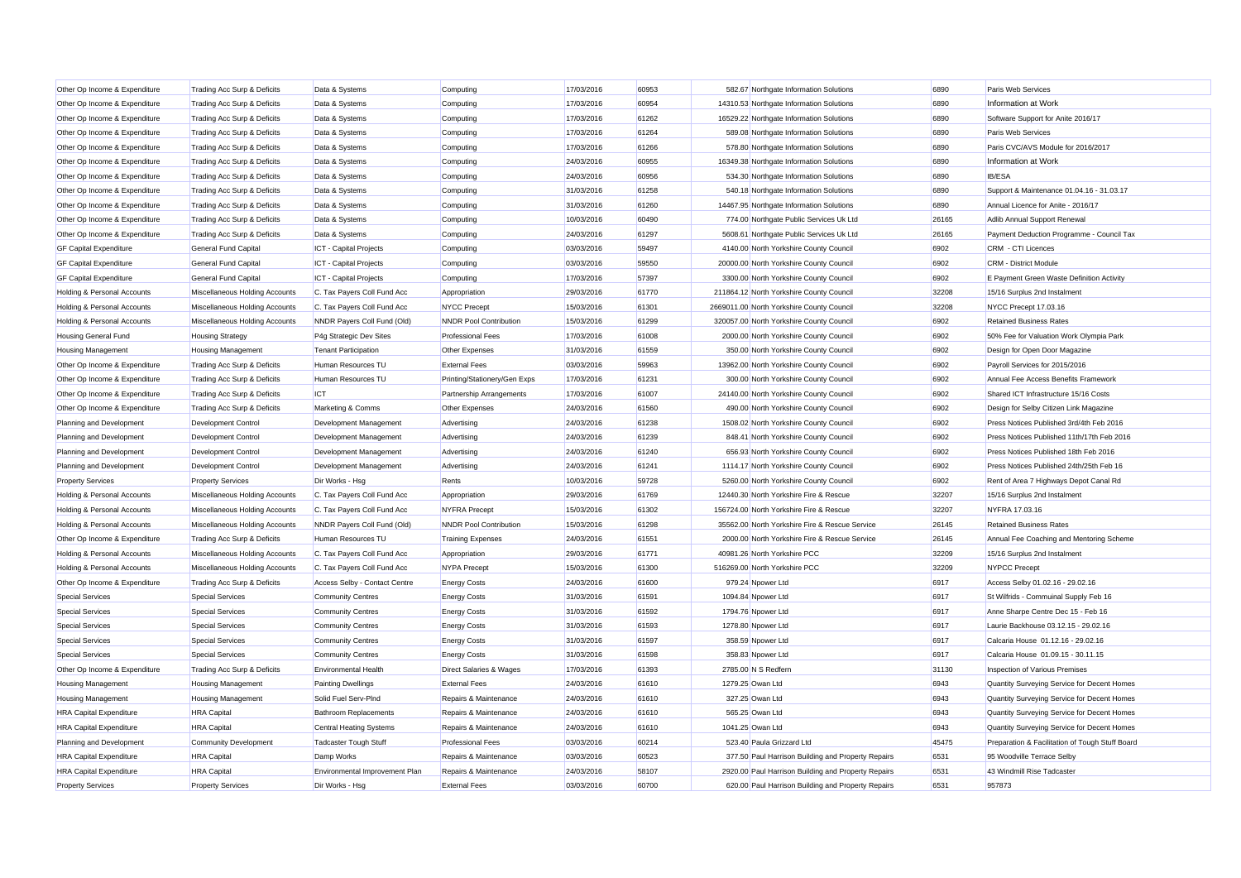| Other Op Income & Expenditure          | Trading Acc Surp & Deficits    | Data & Systems                 | Computing                     | 17/03/2016 | 60953 | 582.67 Northgate Information Solutions              | 6890  | Paris Web Services                              |
|----------------------------------------|--------------------------------|--------------------------------|-------------------------------|------------|-------|-----------------------------------------------------|-------|-------------------------------------------------|
| Other Op Income & Expenditure          | Trading Acc Surp & Deficits    | Data & Systems                 | Computing                     | 17/03/2016 | 60954 | 14310.53 Northgate Information Solutions            | 6890  | Information at Work                             |
| Other Op Income & Expenditure          | Trading Acc Surp & Deficits    | Data & Systems                 | Computing                     | 17/03/2016 | 61262 | 16529.22 Northgate Information Solutions            | 6890  | Software Support for Anite 2016/17              |
| Other Op Income & Expenditure          | Trading Acc Surp & Deficits    | Data & Systems                 | Computing                     | 17/03/2016 | 61264 | 589.08 Northgate Information Solutions              | 6890  | Paris Web Services                              |
| Other Op Income & Expenditure          | Trading Acc Surp & Deficits    | Data & Systems                 | Computing                     | 17/03/2016 | 61266 | 578.80 Northgate Information Solutions              | 6890  | Paris CVC/AVS Module for 2016/2017              |
| Other Op Income & Expenditure          | Trading Acc Surp & Deficits    | Data & Systems                 | Computing                     | 24/03/2016 | 60955 | 16349.38 Northgate Information Solutions            | 6890  | Information at Work                             |
| Other Op Income & Expenditure          | Trading Acc Surp & Deficits    | Data & Systems                 | Computing                     | 24/03/2016 | 60956 | 534.30 Northgate Information Solutions              | 6890  | <b>IB/ESA</b>                                   |
| Other Op Income & Expenditure          | Trading Acc Surp & Deficits    | Data & Systems                 | Computing                     | 31/03/2016 | 61258 | 540.18 Northgate Information Solutions              | 6890  | Support & Maintenance 01.04.16 - 31.03.17       |
| Other Op Income & Expenditure          | Trading Acc Surp & Deficits    | Data & Systems                 | Computing                     | 31/03/2016 | 61260 | 14467.95 Northgate Information Solutions            | 6890  | Annual Licence for Anite - 2016/17              |
| Other Op Income & Expenditure          | Trading Acc Surp & Deficits    | Data & Systems                 | Computing                     | 10/03/2016 | 60490 | 774.00 Northgate Public Services Uk Ltd             | 26165 | Adlib Annual Support Renewal                    |
| Other Op Income & Expenditure          | Trading Acc Surp & Deficits    | Data & Systems                 | Computing                     | 24/03/2016 | 61297 | 5608.61 Northgate Public Services Uk Ltd            | 26165 | Payment Deduction Programme - Council Tax       |
| <b>GF Capital Expenditure</b>          | <b>General Fund Capital</b>    | ICT - Capital Projects         | Computing                     | 03/03/2016 | 59497 | 4140.00 North Yorkshire County Council              | 6902  | CRM - CTI Licences                              |
| <b>GF Capital Expenditure</b>          | <b>General Fund Capital</b>    | <b>ICT</b> - Capital Projects  | Computing                     | 03/03/2016 | 59550 | 20000.00 North Yorkshire County Council             | 6902  | <b>CRM - District Module</b>                    |
| <b>GF Capital Expenditure</b>          | General Fund Capital           | <b>ICT</b> - Capital Projects  | Computing                     | 17/03/2016 | 57397 | 3300.00 North Yorkshire County Council              | 6902  | E Payment Green Waste Definition Activity       |
| Holding & Personal Accounts            | Miscellaneous Holding Accounts | C. Tax Payers Coll Fund Acc    | Appropriation                 | 29/03/2016 | 61770 | 211864.12 North Yorkshire County Council            | 32208 | 15/16 Surplus 2nd Instalment                    |
| Holding & Personal Accounts            | Miscellaneous Holding Accounts | C. Tax Payers Coll Fund Acc    | <b>NYCC Precept</b>           | 15/03/2016 | 61301 | 2669011.00 North Yorkshire County Council           | 32208 | NYCC Precept 17.03.16                           |
| Holding & Personal Accounts            | Miscellaneous Holding Accounts | NNDR Payers Coll Fund (Old)    | <b>NNDR Pool Contribution</b> | 15/03/2016 | 61299 | 320057.00 North Yorkshire County Council            | 6902  | <b>Retained Business Rates</b>                  |
| <b>Housing General Fund</b>            | <b>Housing Strategy</b>        | P4g Strategic Dev Sites        | <b>Professional Fees</b>      | 17/03/2016 | 61008 | 2000.00 North Yorkshire County Council              | 6902  | 50% Fee for Valuation Work Olympia Park         |
| <b>Housing Management</b>              | <b>Housing Management</b>      | <b>Tenant Participation</b>    | Other Expenses                | 31/03/2016 | 61559 | 350.00 North Yorkshire County Council               | 6902  | Design for Open Door Magazine                   |
| Other Op Income & Expenditure          | Trading Acc Surp & Deficits    | Human Resources TU             | <b>External Fees</b>          | 03/03/2016 | 59963 | 13962.00 North Yorkshire County Council             | 6902  | Payroll Services for 2015/2016                  |
| Other Op Income & Expenditure          | Trading Acc Surp & Deficits    | Human Resources TU             | Printing/Stationery/Gen Exps  | 17/03/2016 | 61231 | 300.00 North Yorkshire County Council               | 6902  | Annual Fee Access Benefits Framework            |
| Other Op Income & Expenditure          | Trading Acc Surp & Deficits    | <b>ICT</b>                     | Partnership Arrangements      | 17/03/2016 | 61007 | 24140.00 North Yorkshire County Council             | 6902  | Shared ICT Infrastructure 15/16 Costs           |
| Other Op Income & Expenditure          | Trading Acc Surp & Deficits    | Marketing & Comms              | Other Expenses                | 24/03/2016 | 61560 | 490.00 North Yorkshire County Council               | 6902  | Design for Selby Citizen Link Magazine          |
| Planning and Development               | Development Control            | Development Management         | Advertising                   | 24/03/2016 | 61238 | 1508.02 North Yorkshire County Council              | 6902  | Press Notices Published 3rd/4th Feb 2016        |
| Planning and Development               | Development Control            | Development Management         | Advertising                   | 24/03/2016 | 61239 | 848.41 North Yorkshire County Council               | 6902  | Press Notices Published 11th/17th Feb 2016      |
| Planning and Development               | <b>Development Control</b>     | Development Management         | Advertising                   | 24/03/2016 | 61240 | 656.93 North Yorkshire County Council               | 6902  | Press Notices Published 18th Feb 2016           |
| Planning and Development               | <b>Development Control</b>     | Development Management         | Advertising                   | 24/03/2016 | 61241 | 1114.17 North Yorkshire County Council              | 6902  | Press Notices Published 24th/25th Feb 16        |
| <b>Property Services</b>               | <b>Property Services</b>       | Dir Works - Hsg                | Rents                         | 10/03/2016 | 59728 | 5260.00 North Yorkshire County Council              | 6902  | Rent of Area 7 Highways Depot Canal Rd          |
| Holding & Personal Accounts            | Miscellaneous Holding Accounts | C. Tax Payers Coll Fund Acc    | Appropriation                 | 29/03/2016 | 61769 | 12440.30 North Yorkshire Fire & Rescue              | 32207 | 15/16 Surplus 2nd Instalment                    |
| <b>Holding &amp; Personal Accounts</b> | Miscellaneous Holding Accounts | C. Tax Payers Coll Fund Acc    | <b>NYFRA Precept</b>          | 15/03/2016 | 61302 | 156724.00 North Yorkshire Fire & Rescue             | 32207 | NYFRA 17.03.16                                  |
| Holding & Personal Accounts            | Miscellaneous Holding Accounts | NNDR Payers Coll Fund (Old)    | <b>NNDR Pool Contribution</b> | 15/03/2016 | 61298 | 35562.00 North Yorkshire Fire & Rescue Service      | 26145 | <b>Retained Business Rates</b>                  |
| Other Op Income & Expenditure          | Trading Acc Surp & Deficits    | Human Resources TU             | <b>Training Expenses</b>      | 24/03/2016 | 61551 | 2000.00 North Yorkshire Fire & Rescue Service       | 26145 | Annual Fee Coaching and Mentoring Scheme        |
| Holding & Personal Accounts            | Miscellaneous Holding Accounts | C. Tax Payers Coll Fund Acc    | Appropriation                 | 29/03/2016 | 61771 | 40981.26 North Yorkshire PCC                        | 32209 | 15/16 Surplus 2nd Instalment                    |
| Holding & Personal Accounts            | Miscellaneous Holding Accounts | C. Tax Payers Coll Fund Acc    | <b>NYPA</b> Precept           | 15/03/2016 | 61300 | 516269.00 North Yorkshire PCC                       | 32209 | <b>NYPCC Precept</b>                            |
| Other Op Income & Expenditure          | Trading Acc Surp & Deficits    | Access Selby - Contact Centre  | <b>Energy Costs</b>           | 24/03/2016 | 61600 | 979.24 Npower Ltd                                   | 6917  | Access Selby 01.02.16 - 29.02.16                |
| <b>Special Services</b>                | <b>Special Services</b>        | Community Centres              | <b>Energy Costs</b>           | 31/03/2016 | 61591 | 1094.84 Npower Ltd                                  | 6917  | St Wilfrids - Commuinal Supply Feb 16           |
| Special Services                       | <b>Special Services</b>        | Community Centres              | <b>Energy Costs</b>           | 31/03/2016 | 61592 | 1794.76 Npower Ltd                                  | 6917  | Anne Sharpe Centre Dec 15 - Feb 16              |
| <b>Special Services</b>                | <b>Special Services</b>        | Community Centres              | <b>Energy Costs</b>           | 31/03/2016 | 61593 | 1278.80 Npower Ltd                                  | 6917  | Laurie Backhouse 03.12.15 - 29.02.16            |
| <b>Special Services</b>                | <b>Special Services</b>        | Community Centres              | <b>Energy Costs</b>           | 31/03/2016 | 61597 | 358.59 Npower Ltd                                   | 6917  | Calcaria House 01.12.16 - 29.02.16              |
| <b>Special Services</b>                | <b>Special Services</b>        | Community Centres              | <b>Energy Costs</b>           | 31/03/2016 | 61598 | 358.83 Npower Ltd                                   | 6917  | Calcaria House 01.09.15 - 30.11.15              |
| Other Op Income & Expenditure          | Trading Acc Surp & Deficits    | <b>Environmental Health</b>    | Direct Salaries & Wages       | 17/03/2016 | 61393 | 2785.00 N S Redfern                                 | 31130 | Inspection of Various Premises                  |
| <b>Housing Management</b>              | <b>Housing Management</b>      | <b>Painting Dwellings</b>      | <b>External Fees</b>          | 24/03/2016 | 61610 | 1279.25 Owan Ltd                                    | 6943  | Quantity Surveying Service for Decent Homes     |
| <b>Housing Management</b>              | <b>Housing Management</b>      | Solid Fuel Serv-PInd           | Repairs & Maintenance         | 24/03/2016 | 61610 | 327.25 Owan Ltd                                     | 6943  | Quantity Surveying Service for Decent Homes     |
| <b>HRA Capital Expenditure</b>         | <b>HRA</b> Capital             | <b>Bathroom Replacements</b>   | Repairs & Maintenance         | 24/03/2016 | 61610 | 565.25 Owan Ltd                                     | 6943  | Quantity Surveying Service for Decent Homes     |
| <b>HRA Capital Expenditure</b>         | <b>HRA</b> Capital             | Central Heating Systems        | Repairs & Maintenance         | 24/03/2016 | 61610 | 1041.25 Owan Ltd                                    | 6943  | Quantity Surveying Service for Decent Homes     |
| Planning and Development               | <b>Community Development</b>   | Tadcaster Tough Stuff          | <b>Professional Fees</b>      | 03/03/2016 | 60214 | 523.40 Paula Grizzard Ltd                           | 45475 | Preparation & Facilitation of Tough Stuff Board |
| <b>HRA Capital Expenditure</b>         | <b>HRA</b> Capital             | Damp Works                     | Repairs & Maintenance         | 03/03/2016 | 60523 | 377.50 Paul Harrison Building and Property Repairs  | 6531  | 95 Woodville Terrace Selby                      |
| <b>HRA Capital Expenditure</b>         | <b>HRA</b> Capital             | Environmental Improvement Plan | Repairs & Maintenance         | 24/03/2016 | 58107 | 2920.00 Paul Harrison Building and Property Repairs | 6531  | 43 Windmill Rise Tadcaster                      |
| <b>Property Services</b>               | <b>Property Services</b>       | Dir Works - Hsg                | <b>External Fees</b>          | 03/03/2016 | 60700 | 620.00 Paul Harrison Building and Property Repairs  | 6531  | 957873                                          |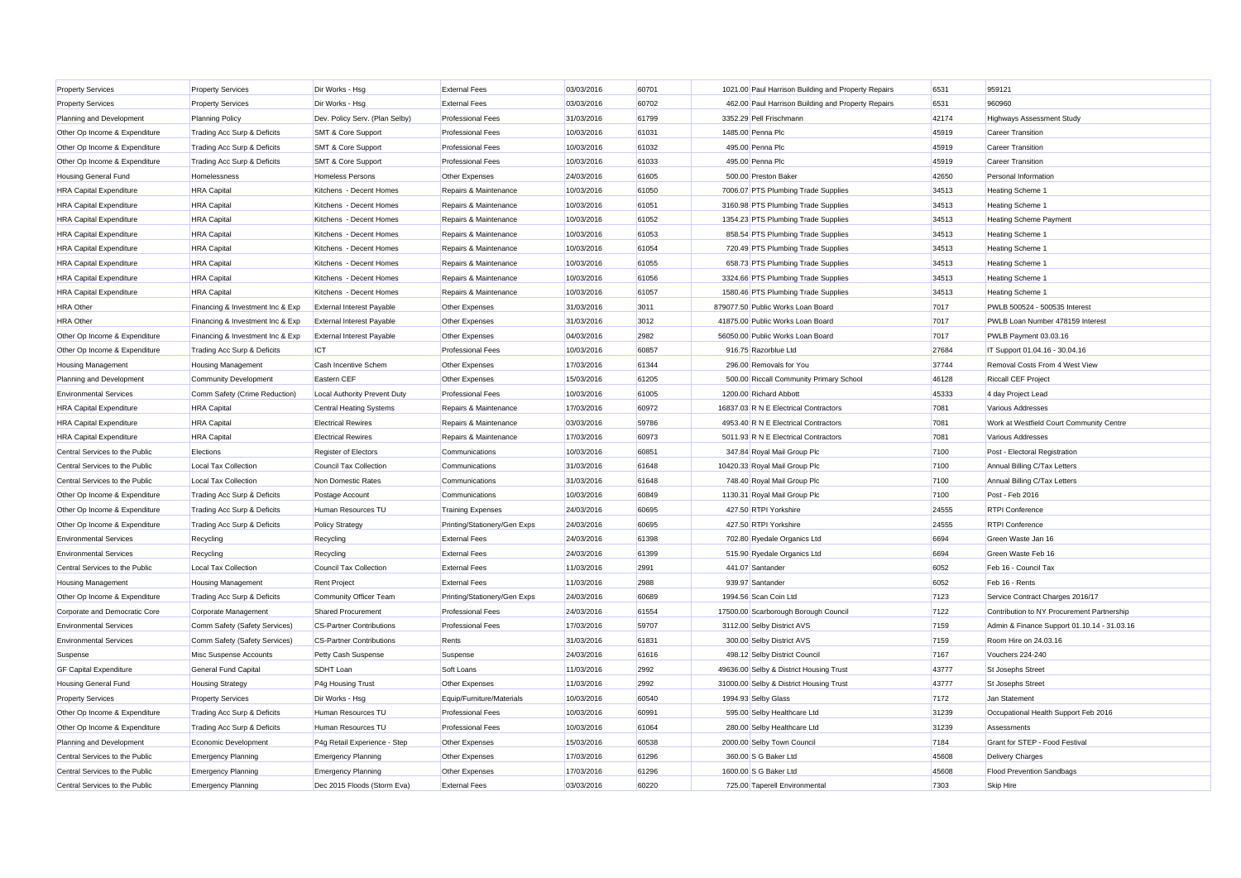| <b>Property Services</b>       | <b>Property Services</b>         | Dir Works - Hsg                  | <b>External Fees</b>         | 03/03/2016 | 60701 | 1021.00 Paul Harrison Building and Property Repairs | 6531  | 959121                                      |
|--------------------------------|----------------------------------|----------------------------------|------------------------------|------------|-------|-----------------------------------------------------|-------|---------------------------------------------|
| <b>Property Services</b>       | <b>Property Services</b>         | Dir Works - Hsa                  | <b>External Fees</b>         | 03/03/2016 | 60702 | 462.00 Paul Harrison Building and Property Repairs  | 6531  | 960960                                      |
| Planning and Development       | <b>Planning Policy</b>           | Dev. Policy Serv. (Plan Selby)   | <b>Professional Fees</b>     | 31/03/2016 | 61799 | 3352.29 Pell Frischmann                             | 42174 | <b>Highways Assessment Study</b>            |
| Other Op Income & Expenditure  | Trading Acc Surp & Deficits      | <b>SMT &amp; Core Support</b>    | <b>Professional Fees</b>     | 10/03/2016 | 61031 | 1485.00 Penna Plc                                   | 45919 | <b>Career Transition</b>                    |
| Other Op Income & Expenditure  | Trading Acc Surp & Deficits      | <b>SMT &amp; Core Support</b>    | <b>Professional Fees</b>     | 10/03/2016 | 61032 | 495.00 Penna Plc                                    | 45919 | <b>Career Transition</b>                    |
| Other Op Income & Expenditure  | Trading Acc Surp & Deficits      | <b>SMT &amp; Core Support</b>    | <b>Professional Fees</b>     | 10/03/2016 | 61033 | 495.00 Penna Plc                                    | 45919 | <b>Career Transition</b>                    |
| Housing General Fund           | Homelessness                     | <b>Homeless Persons</b>          | Other Expenses               | 24/03/2016 | 61605 | 500.00 Preston Baker                                | 42650 | Personal Information                        |
| <b>HRA Capital Expenditure</b> | <b>HRA Capital</b>               | Kitchens - Decent Homes          | Repairs & Maintenance        | 10/03/2016 | 61050 | 7006.07 PTS Plumbing Trade Supplies                 | 34513 | Heating Scheme 1                            |
| <b>HRA Capital Expenditure</b> | <b>HRA Capital</b>               | Kitchens - Decent Homes          | Repairs & Maintenance        | 10/03/2016 | 61051 | 3160.98 PTS Plumbing Trade Supplies                 | 34513 | Heating Scheme 1                            |
| <b>HRA Capital Expenditure</b> | <b>HRA Capital</b>               | Kitchens - Decent Homes          | Repairs & Maintenance        | 10/03/2016 | 61052 | 1354.23 PTS Plumbing Trade Supplies                 | 34513 | <b>Heating Scheme Payment</b>               |
| <b>HRA Capital Expenditure</b> | <b>HRA Capital</b>               | Kitchens - Decent Homes          | Repairs & Maintenance        | 10/03/2016 | 61053 | 858.54 PTS Plumbing Trade Supplies                  | 34513 | Heating Scheme 1                            |
| <b>HRA Capital Expenditure</b> | <b>HRA Capital</b>               | Kitchens - Decent Homes          | Repairs & Maintenance        | 10/03/2016 | 61054 | 720.49 PTS Plumbing Trade Supplies                  | 34513 | Heating Scheme 1                            |
| <b>HRA Capital Expenditure</b> | <b>HRA Capital</b>               | Kitchens - Decent Homes          | Repairs & Maintenance        | 10/03/2016 | 61055 | 658.73 PTS Plumbing Trade Supplies                  | 34513 | Heating Scheme 1                            |
| <b>HRA Capital Expenditure</b> | <b>HRA Capital</b>               | Kitchens - Decent Homes          | Repairs & Maintenance        | 10/03/2016 | 61056 | 3324.66 PTS Plumbing Trade Supplies                 | 34513 | Heating Scheme '                            |
| <b>HRA Capital Expenditure</b> | <b>HRA Capital</b>               | Kitchens - Decent Homes          | Repairs & Maintenance        | 10/03/2016 | 61057 | 1580.46 PTS Plumbing Trade Supplies                 | 34513 | Heating Scheme 1                            |
| <b>HRA</b> Other               | Financing & Investment Inc & Exp | <b>External Interest Payable</b> | Other Expenses               | 31/03/2016 | 3011  | 879077.50 Public Works Loan Board                   | 7017  | PWLB 500524 - 500535 Interest               |
| <b>HRA</b> Other               | Financing & Investment Inc & Exp | <b>External Interest Payable</b> | Other Expenses               | 31/03/2016 | 3012  | 41875.00 Public Works Loan Board                    | 7017  | PWLB Loan Number 478159 Interest            |
| Other Op Income & Expenditure  | Financing & Investment Inc & Exp | <b>External Interest Payable</b> | Other Expenses               | 04/03/2016 | 2982  | 56050.00 Public Works Loan Board                    | 7017  | PWLB Payment 03.03.16                       |
| Other Op Income & Expenditure  | Trading Acc Surp & Deficits      | <b>ICT</b>                       | <b>Professional Fees</b>     | 10/03/2016 | 60857 | 916.75 Razorblue Ltd                                | 27684 | IT Support 01.04.16 - 30.04.16              |
| <b>Housing Management</b>      | Housing Management               | Cash Incentive Schem             | Other Expenses               | 17/03/2016 | 61344 | 296.00 Removals for You                             | 37744 | Removal Costs From 4 West View              |
| Planning and Development       | Community Development            | Eastern CEF                      | Other Expenses               | 15/03/2016 | 61205 | 500.00 Riccall Community Primary School             | 46128 | <b>Riccall CEF Project</b>                  |
| <b>Environmental Services</b>  | Comm Safety (Crime Reduction)    | Local Authority Prevent Duty     | <b>Professional Fees</b>     | 10/03/2016 | 61005 | 1200.00 Richard Abbott                              | 45333 | 4 day Project Lead                          |
| <b>HRA Capital Expenditure</b> | <b>HRA Capital</b>               | Central Heating Systems          | Repairs & Maintenance        | 17/03/2016 | 60972 | 16837.03 R N E Electrical Contractors               | 7081  | Various Addresses                           |
| <b>HRA Capital Expenditure</b> | <b>HRA Capital</b>               | <b>Electrical Rewires</b>        | Repairs & Maintenance        | 03/03/2016 | 59786 | 4953.40 R N E Electrical Contractors                | 7081  | Work at Westfield Court Community Centre    |
| <b>HRA</b> Capital Expenditure | <b>HRA Capital</b>               | <b>Electrical Rewires</b>        | Repairs & Maintenance        | 17/03/2016 | 60973 | 5011.93 R N E Electrical Contractors                | 7081  | Various Addresses                           |
| Central Services to the Public | Elections                        | Register of Electors             | Communications               | 10/03/2016 | 60851 | 347.84 Royal Mail Group Plc                         | 7100  | Post - Electoral Registration               |
| Central Services to the Public | Local Tax Collection             | Council Tax Collection           | Communications               | 31/03/2016 | 61648 | 10420.33 Royal Mail Group Plc                       | 7100  | Annual Billing C/Tax Letters                |
| Central Services to the Public | Local Tax Collection             | Non Domestic Rates               | Communications               | 31/03/2016 | 61648 | 748.40 Royal Mail Group Plc                         | 7100  | Annual Billing C/Tax Letters                |
| Other Op Income & Expenditure  | Trading Acc Surp & Deficits      | Postage Account                  | Communications               | 10/03/2016 | 60849 | 1130.31 Royal Mail Group Plc                        | 7100  | Post - Feb 2016                             |
| Other Op Income & Expenditure  | Trading Acc Surp & Deficits      | Human Resources TU               | <b>Training Expenses</b>     | 24/03/2016 | 60695 | 427.50 RTPI Yorkshire                               | 24555 | <b>RTPI Conference</b>                      |
| Other Op Income & Expenditure  | Trading Acc Surp & Deficits      | <b>Policy Strategy</b>           | Printing/Stationery/Gen Exps | 24/03/2016 | 60695 | 427.50 RTPI Yorkshire                               | 24555 | <b>RTPI Conference</b>                      |
| <b>Environmental Services</b>  | Recycling                        | Recycling                        | <b>External Fees</b>         | 24/03/2016 | 61398 | 702.80 Ryedale Organics Ltd                         | 6694  | Green Waste Jan 16                          |
| <b>Environmental Services</b>  | Recycling                        | Recycling                        | <b>External Fees</b>         | 24/03/2016 | 61399 | 515.90 Ryedale Organics Ltd                         | 6694  | Green Waste Feb 16                          |
| Central Services to the Public | Local Tax Collection             | Council Tax Collection           | <b>External Fees</b>         | 11/03/2016 | 2991  | 441.07 Santander                                    | 6052  | Feb 16 - Council Tax                        |
| <b>Housing Management</b>      | <b>Housing Management</b>        | <b>Rent Project</b>              | <b>External Fees</b>         | 11/03/2016 | 2988  | 939.97 Santander                                    | 6052  | Feb 16 - Rents                              |
| Other Op Income & Expenditure  | Trading Acc Surp & Deficits      | Community Officer Team           | Printing/Stationery/Gen Exps | 24/03/2016 | 60689 | 1994.56 Scan Coin Ltd                               | 7123  | Service Contract Charges 2016/17            |
| Corporate and Democratic Core  | Corporate Management             | <b>Shared Procurement</b>        | <b>Professional Fees</b>     | 24/03/2016 | 61554 | 17500.00 Scarborough Borough Council                | 7122  | Contribution to NY Procurement Partnership  |
| <b>Environmental Services</b>  | Comm Safety (Safety Services)    | <b>CS-Partner Contributions</b>  | <b>Professional Fees</b>     | 17/03/2016 | 59707 | 3112.00 Selby District AVS                          | 7159  | Admin & Finance Support 01.10.14 - 31.03.16 |
| <b>Environmental Services</b>  | Comm Safety (Safety Services)    | CS-Partner Contributions         | Rents                        | 31/03/2016 | 61831 | 300.00 Selby District AVS                           | 7159  | Room Hire on 24.03.16                       |
| Suspense                       | Misc Suspense Accounts           | Petty Cash Suspense              | Suspense                     | 24/03/2016 | 61616 | 498.12 Selby District Council                       | 7167  | Vouchers 224-240                            |
| <b>GF Capital Expenditure</b>  | <b>General Fund Capital</b>      | <b>SDHT</b> Loan                 | Soft Loans                   | 11/03/2016 | 2992  | 49636.00 Selby & District Housing Trust             | 43777 | St Josephs Street                           |
| <b>Housing General Fund</b>    | <b>Housing Strategy</b>          | P4g Housing Trust                | Other Expenses               | 11/03/2016 | 2992  | 31000.00 Selby & District Housing Trust             | 43777 | St Josephs Street                           |
| <b>Property Services</b>       | <b>Property Services</b>         | Dir Works - Hsg                  | Equip/Furniture/Materials    | 10/03/2016 | 60540 | 1994.93 Selby Glass                                 | 7172  | Jan Statement                               |
| Other Op Income & Expenditure  | Trading Acc Surp & Deficits      | Human Resources TU               | <b>Professional Fees</b>     | 10/03/2016 | 60991 | 595.00 Selby Healthcare Ltd                         | 31239 | Occupational Health Support Feb 2016        |
| Other Op Income & Expenditure  | Trading Acc Surp & Deficits      | Human Resources TU               | <b>Professional Fees</b>     | 10/03/2016 | 61064 | 280.00 Selby Healthcare Ltd                         | 31239 | Assessments                                 |
| Planning and Development       | Economic Development             | P4g Retail Experience - Step     | Other Expenses               | 15/03/2016 | 60538 | 2000.00 Selby Town Council                          | 7184  | Grant for STEP - Food Festival              |
| Central Services to the Public | <b>Emergency Planning</b>        | <b>Emergency Planning</b>        | Other Expenses               | 17/03/2016 | 61296 | 360.00 S G Baker Ltd                                | 45608 | <b>Delivery Charges</b>                     |
| Central Services to the Public | <b>Emergency Planning</b>        | <b>Emergency Planning</b>        | Other Expenses               | 17/03/2016 | 61296 | 1600.00 S G Baker Ltd                               | 45608 | <b>Flood Prevention Sandbags</b>            |
| Central Services to the Public | <b>Emergency Planning</b>        | Dec 2015 Floods (Storm Eva)      | <b>External Fees</b>         | 03/03/2016 | 60220 | 725.00 Taperell Environmental                       | 7303  | <b>Skip Hire</b>                            |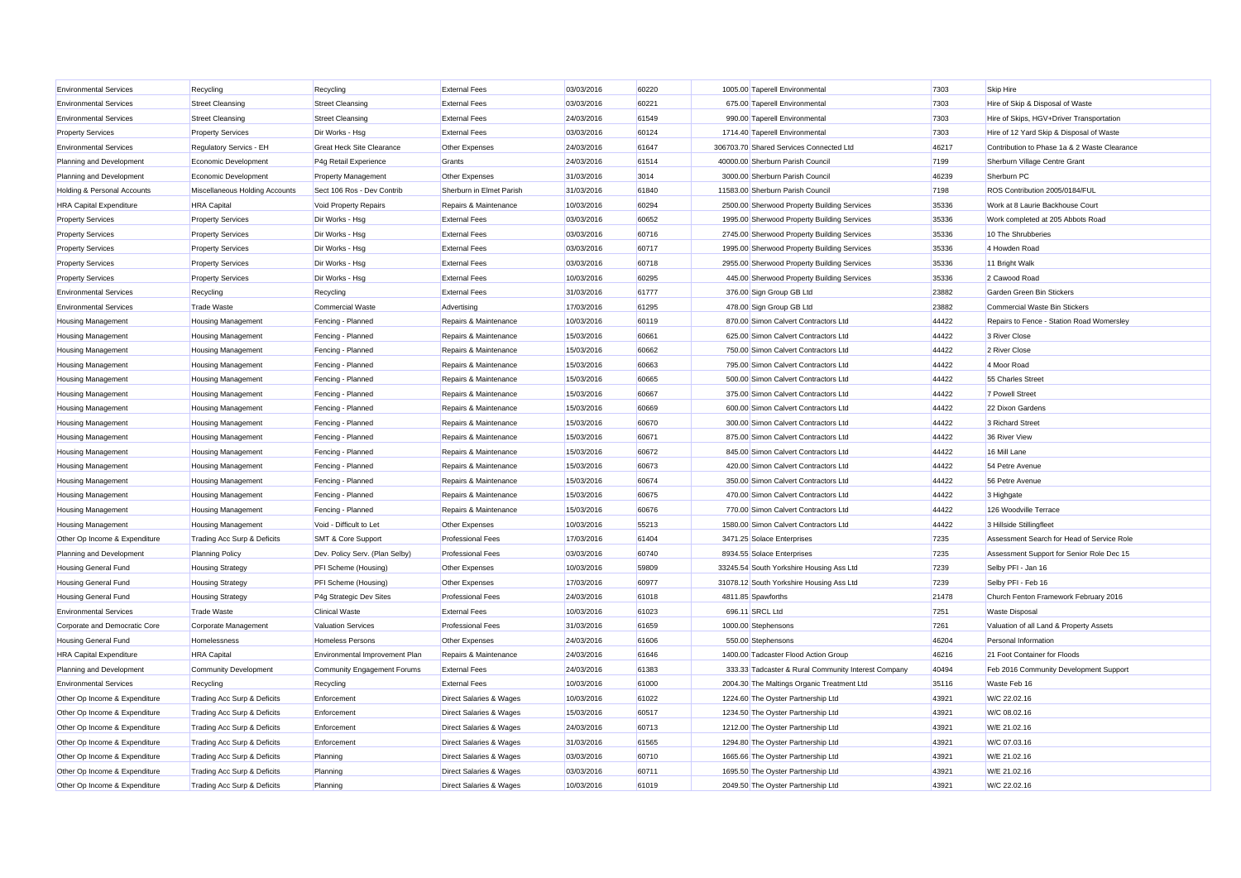| <b>Environmental Services</b>  | Recycling                      | Recycling                        | <b>External Fees</b>               | 03/03/2016 | 60220 | 1005.00 Taperell Environmenta                       | 7303  | Skip Hire                                    |
|--------------------------------|--------------------------------|----------------------------------|------------------------------------|------------|-------|-----------------------------------------------------|-------|----------------------------------------------|
| <b>Environmental Services</b>  | <b>Street Cleansing</b>        | <b>Street Cleansing</b>          | <b>External Fees</b>               | 03/03/2016 | 60221 | 675.00 Taperell Environmental                       | 7303  | Hire of Skip & Disposal of Waste             |
| <b>Environmental Services</b>  | <b>Street Cleansing</b>        | <b>Street Cleansing</b>          | <b>External Fees</b>               | 24/03/2016 | 61549 | 990.00 Taperell Environmental                       | 7303  | Hire of Skips, HGV+Driver Transportation     |
| <b>Property Services</b>       | <b>Property Services</b>       | Dir Works - Hsg                  | <b>External Fees</b>               | 03/03/2016 | 60124 | 1714.40 Taperell Environmental                      | 7303  | Hire of 12 Yard Skip & Disposal of Waste     |
| <b>Environmental Services</b>  | Regulatory Servics - EH        | <b>Great Heck Site Clearance</b> | Other Expenses                     | 24/03/2016 | 61647 | 306703.70 Shared Services Connected Ltd             | 46217 | Contribution to Phase 1a & 2 Waste Clearance |
| Planning and Development       | Economic Development           | P4g Retail Experience            | Grants                             | 24/03/2016 | 61514 | 40000.00 Sherburn Parish Council                    | 7199  | Sherburn Village Centre Grant                |
| Planning and Development       | Economic Development           | <b>Property Management</b>       | Other Expenses                     | 31/03/2016 | 3014  | 3000.00 Sherburn Parish Council                     | 46239 | Sherburn PC                                  |
| Holding & Personal Accounts    | Miscellaneous Holding Accounts | Sect 106 Ros - Dev Contrib       | Sherburn in Elmet Parish           | 31/03/2016 | 61840 | 11583.00 Sherburn Parish Council                    | 7198  | ROS Contribution 2005/0184/FUL               |
| <b>HRA Capital Expenditure</b> | <b>HRA</b> Capital             | Void Property Repairs            | Repairs & Maintenance              | 10/03/2016 | 60294 | 2500.00 Sherwood Property Building Services         | 35336 | Work at 8 Laurie Backhouse Court             |
| <b>Property Services</b>       | <b>Property Services</b>       | Dir Works - Hsg                  | <b>External Fees</b>               | 03/03/2016 | 60652 | 1995.00 Sherwood Property Building Services         | 35336 | Work completed at 205 Abbots Road            |
| <b>Property Services</b>       | <b>Property Services</b>       | Dir Works - Hsg                  | <b>External Fees</b>               | 03/03/2016 | 60716 | 2745.00 Sherwood Property Building Services         | 35336 | 10 The Shrubberies                           |
| <b>Property Services</b>       | <b>Property Services</b>       | Dir Works - Hsg                  | <b>External Fees</b>               | 03/03/2016 | 60717 | 1995.00 Sherwood Property Building Services         | 35336 | 4 Howden Road                                |
| <b>Property Services</b>       | <b>Property Services</b>       | Dir Works - Hsg                  | <b>External Fees</b>               | 03/03/2016 | 60718 | 2955.00 Sherwood Property Building Services         | 35336 | 11 Bright Walk                               |
| <b>Property Services</b>       | <b>Property Services</b>       | Dir Works - Hsg                  | <b>External Fees</b>               | 10/03/2016 | 60295 | 445.00 Sherwood Property Building Services          | 35336 | 2 Cawood Road                                |
| <b>Environmental Services</b>  | Recycling                      | Recycling                        | <b>External Fees</b>               | 31/03/2016 | 61777 | 376.00 Sign Group GB Ltd                            | 23882 | Garden Green Bin Stickers                    |
| <b>Environmental Services</b>  | <b>Trade Waste</b>             | Commercial Waste                 | Advertising                        | 17/03/2016 | 61295 | 478.00 Sign Group GB Ltd                            | 23882 | Commercial Waste Bin Stickers                |
| <b>Housing Management</b>      | <b>Housing Management</b>      | Fencing - Planned                | Repairs & Maintenance              | 10/03/2016 | 60119 | 870.00 Simon Calvert Contractors Ltd                | 44422 | Repairs to Fence - Station Road Womersley    |
| <b>Housing Management</b>      | <b>Housing Management</b>      | Fencing - Planned                | Repairs & Maintenance              | 15/03/2016 | 60661 | 625.00 Simon Calvert Contractors Ltd                | 44422 | 3 River Close                                |
| <b>Housing Management</b>      | <b>Housing Management</b>      | Fencing - Planned                | Repairs & Maintenance              | 15/03/2016 | 60662 | 750.00 Simon Calvert Contractors Ltd                | 44422 | 2 River Close                                |
| <b>Housing Management</b>      | <b>Housing Management</b>      | Fencing - Planned                | Repairs & Maintenance              | 15/03/2016 | 60663 | 795.00 Simon Calvert Contractors Ltd                | 44422 | 4 Moor Road                                  |
| <b>Housing Management</b>      | <b>Housing Management</b>      | Fencing - Planned                | Repairs & Maintenance              | 15/03/2016 | 60665 | 500.00 Simon Calvert Contractors Ltd                | 44422 | 55 Charles Street                            |
| <b>Housing Management</b>      | <b>Housing Management</b>      | Fencing - Planned                | Repairs & Maintenance              | 15/03/2016 | 60667 | 375.00 Simon Calvert Contractors Ltd                | 44422 | 7 Powell Street                              |
| <b>Housing Management</b>      | <b>Housing Management</b>      | Fencing - Planned                | Repairs & Maintenance              | 15/03/2016 | 60669 | 600.00 Simon Calvert Contractors Ltd                | 44422 | 22 Dixon Gardens                             |
| <b>Housing Management</b>      | <b>Housing Management</b>      | Fencing - Planned                | Repairs & Maintenance              | 15/03/2016 | 60670 | 300.00 Simon Calvert Contractors Ltd                | 44422 | 3 Richard Street                             |
| <b>Housing Management</b>      | <b>Housing Management</b>      | Fencing - Planned                | Repairs & Maintenance              | 15/03/2016 | 60671 | 875.00 Simon Calvert Contractors Ltd                | 44422 | 36 River View                                |
| <b>Housing Management</b>      | <b>Housing Management</b>      | Fencing - Planned                | Repairs & Maintenance              | 15/03/2016 | 60672 | 845.00 Simon Calvert Contractors Ltd                | 44422 | 16 Mill Lane                                 |
| Housing Management             | <b>Housing Management</b>      | Fencing - Planned                | Repairs & Maintenance              | 15/03/2016 | 60673 | 420.00 Simon Calvert Contractors Ltd                | 44422 | 54 Petre Avenue                              |
| <b>Housing Management</b>      | <b>Housing Management</b>      | Fencing - Planned                | Repairs & Maintenance              | 15/03/2016 | 60674 | 350.00 Simon Calvert Contractors Ltd                | 44422 | 56 Petre Avenue                              |
| <b>Housing Management</b>      | <b>Housing Management</b>      | Fencing - Planned                | Repairs & Maintenance              | 15/03/2016 | 60675 | 470.00 Simon Calvert Contractors Ltd                | 44422 | 3 Highgate                                   |
| <b>Housing Management</b>      | <b>Housing Management</b>      | Fencing - Planned                | Repairs & Maintenance              | 15/03/2016 | 60676 | 770.00 Simon Calvert Contractors Ltd                | 44422 | 126 Woodville Terrace                        |
| <b>Housing Management</b>      | <b>Housing Management</b>      | Void - Difficult to Let          | Other Expenses                     | 10/03/2016 | 55213 | 1580.00 Simon Calvert Contractors Ltd               | 44422 | 3 Hillside Stillingfleet                     |
| Other Op Income & Expenditure  | Trading Acc Surp & Deficits    | <b>SMT &amp; Core Support</b>    | <b>Professional Fees</b>           | 17/03/2016 | 61404 | 3471.25 Solace Enterprises                          | 7235  | Assessment Search for Head of Service Role   |
| Planning and Development       | <b>Planning Policy</b>         | Dev. Policy Serv. (Plan Selby)   | <b>Professional Fees</b>           | 03/03/2016 | 60740 | 8934.55 Solace Enterprises                          | 7235  | Assessment Support for Senior Role Dec 15    |
| <b>Housing General Fund</b>    | <b>Housing Strategy</b>        | PFI Scheme (Housing)             | Other Expenses                     | 10/03/2016 | 59809 | 33245.54 South Yorkshire Housing Ass Ltd            | 7239  | Selby PFI - Jan 16                           |
| <b>Housing General Fund</b>    | <b>Housing Strategy</b>        | PFI Scheme (Housing)             | Other Expenses                     | 17/03/2016 | 60977 | 31078.12 South Yorkshire Housing Ass Ltd            | 7239  | Selby PFI - Feb 16                           |
| <b>Housing General Fund</b>    | <b>Housing Strategy</b>        | P4g Strategic Dev Sites          | <b>Professional Fees</b>           | 24/03/2016 | 61018 | 4811.85 Spawforths                                  | 21478 | Church Fenton Framework February 2016        |
| <b>Environmental Services</b>  | <b>Trade Waste</b>             | <b>Clinical Waste</b>            | <b>External Fees</b>               | 10/03/2016 | 61023 | 696.11 SRCL Ltd                                     | 7251  | <b>Waste Disposal</b>                        |
| Corporate and Democratic Core  | Corporate Management           | <b>Valuation Services</b>        | <b>Professional Fees</b>           | 31/03/2016 | 61659 | 1000.00 Stephensons                                 | 7261  | Valuation of all Land & Property Assets      |
| Housing General Fund           | Homelessness                   | <b>Homeless Persons</b>          | Other Expenses                     | 24/03/2016 | 61606 | 550.00 Stephensons                                  | 46204 | Personal Information                         |
| <b>HRA Capital Expenditure</b> | <b>HRA</b> Capital             | Environmental Improvement Plan   | Repairs & Maintenance              | 24/03/2016 | 61646 | 1400.00 Tadcaster Flood Action Group                | 46216 | 21 Foot Container for Floods                 |
| Planning and Development       | <b>Community Development</b>   | Community Engagement Forums      | <b>External Fees</b>               | 24/03/2016 | 61383 | 333.33 Tadcaster & Rural Community Interest Company | 40494 | Feb 2016 Community Development Support       |
| <b>Environmental Services</b>  | Recycling                      | Recycling                        | <b>External Fees</b>               | 10/03/2016 | 61000 | 2004.30 The Maltings Organic Treatment Ltd          | 35116 | Waste Feb 16                                 |
| Other Op Income & Expenditure  | Trading Acc Surp & Deficits    | Enforcement                      | Direct Salaries & Wages            | 10/03/2016 | 61022 | 1224.60 The Oyster Partnership Ltd                  | 43921 | W/C 22.02.16                                 |
| Other Op Income & Expenditure  | Trading Acc Surp & Deficits    | Enforcement                      | Direct Salaries & Wages            | 15/03/2016 | 60517 | 1234.50 The Oyster Partnership Ltd                  | 43921 | W/C 08.02.16                                 |
| Other Op Income & Expenditure  | Trading Acc Surp & Deficits    | Enforcement                      | Direct Salaries & Wages            | 24/03/2016 | 60713 | 1212.00 The Oyster Partnership Ltd                  | 43921 | W/E 21.02.16                                 |
| Other Op Income & Expenditure  | Trading Acc Surp & Deficits    | Enforcement                      | <b>Direct Salaries &amp; Wages</b> | 31/03/2016 | 61565 | 1294.80 The Oyster Partnership Ltd                  | 43921 | W/C 07.03.16                                 |
| Other Op Income & Expenditure  | Trading Acc Surp & Deficits    | Planning                         | Direct Salaries & Wages            | 03/03/2016 | 60710 | 1665.66 The Oyster Partnership Ltd                  | 43921 | W/E 21.02.16                                 |
| Other Op Income & Expenditure  | Trading Acc Surp & Deficits    | Planning                         | Direct Salaries & Wages            | 03/03/2016 | 60711 | 1695.50 The Oyster Partnership Ltd                  | 43921 | W/E 21.02.16                                 |
| Other Op Income & Expenditure  | Trading Acc Surp & Deficits    | Planning                         | Direct Salaries & Wages            | 10/03/2016 | 61019 | 2049.50 The Oyster Partnership Ltd                  | 43921 | W/C 22.02.16                                 |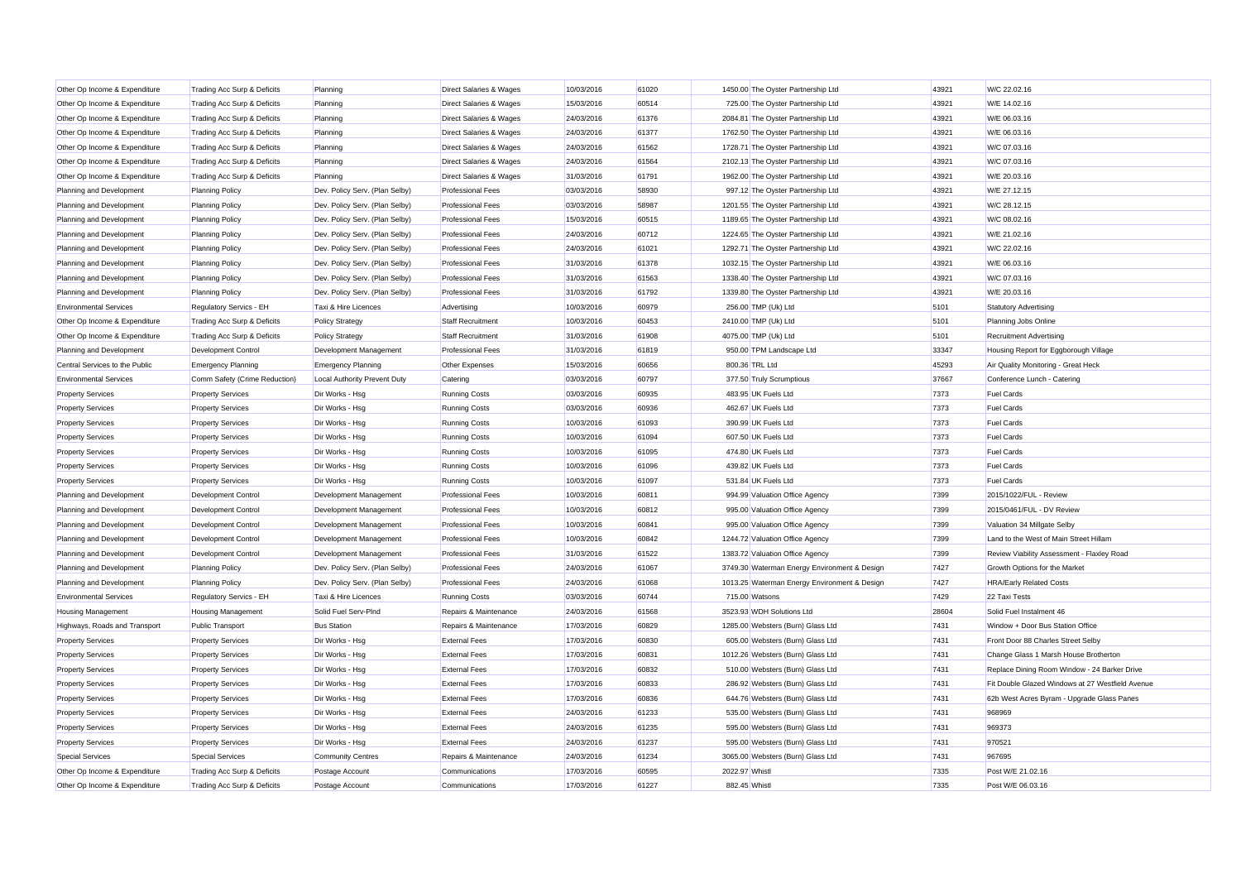| Other Op Income & Expenditure  | Trading Acc Surp & Deficits   | Planning                       | Direct Salaries & Wages  | 10/03/2016 | 61020 | 1450.00 The Oyster Partnership Ltd           | 43921 | W/C 22.02.16                                     |
|--------------------------------|-------------------------------|--------------------------------|--------------------------|------------|-------|----------------------------------------------|-------|--------------------------------------------------|
| Other Op Income & Expenditure  | Trading Acc Surp & Deficits   | Planning                       | Direct Salaries & Wages  | 15/03/2016 | 60514 | 725.00 The Oyster Partnership Ltd            | 43921 | W/E 14.02.16                                     |
| Other Op Income & Expenditure  | Trading Acc Surp & Deficits   | Planning                       | Direct Salaries & Wages  | 24/03/2016 | 61376 | 2084.81 The Oyster Partnership Ltd           | 43921 | W/E 06.03.16                                     |
| Other Op Income & Expenditure  | Trading Acc Surp & Deficits   | Planning                       | Direct Salaries & Wages  | 24/03/2016 | 61377 | 1762.50 The Oyster Partnership Ltd           | 43921 | W/E 06.03.16                                     |
| Other Op Income & Expenditure  | Trading Acc Surp & Deficits   | Planning                       | Direct Salaries & Wages  | 24/03/2016 | 61562 | 1728.71 The Oyster Partnership Ltd           | 43921 | W/C 07.03.16                                     |
| Other Op Income & Expenditure  | Trading Acc Surp & Deficits   | Planning                       | Direct Salaries & Wages  | 24/03/2016 | 61564 | 2102.13 The Oyster Partnership Ltd           | 43921 | W/C 07.03.16                                     |
| Other Op Income & Expenditure  | Trading Acc Surp & Deficits   | Planning                       | Direct Salaries & Wages  | 31/03/2016 | 61791 | 1962.00 The Oyster Partnership Ltd           | 43921 | W/E 20.03.16                                     |
| Planning and Development       | <b>Planning Policy</b>        | Dev. Policy Serv. (Plan Selby) | <b>Professional Fees</b> | 03/03/2016 | 58930 | 997.12 The Oyster Partnership Ltd            | 43921 | W/E 27.12.15                                     |
| Planning and Development       | <b>Planning Policy</b>        | Dev. Policy Serv. (Plan Selby) | <b>Professional Fees</b> | 03/03/2016 | 58987 | 1201.55 The Oyster Partnership Ltd           | 43921 | W/C 28.12.15                                     |
| Planning and Development       | <b>Planning Policy</b>        | Dev. Policy Serv. (Plan Selby) | <b>Professional Fees</b> | 15/03/2016 | 60515 | 1189.65 The Oyster Partnership Ltd           | 43921 | W/C 08.02.16                                     |
| Planning and Development       | <b>Planning Policy</b>        | Dev. Policy Serv. (Plan Selby) | <b>Professional Fees</b> | 24/03/2016 | 60712 | 1224.65 The Oyster Partnership Ltd           | 43921 | W/E 21.02.16                                     |
| Planning and Development       | <b>Planning Policy</b>        | Dev. Policy Serv. (Plan Selby) | <b>Professional Fees</b> | 24/03/2016 | 61021 | 1292.71 The Oyster Partnership Ltd           | 43921 | W/C 22.02.16                                     |
| Planning and Development       | <b>Planning Policy</b>        | Dev. Policy Serv. (Plan Selby) | <b>Professional Fees</b> | 31/03/2016 | 61378 | 1032.15 The Oyster Partnership Ltd           | 43921 | W/E 06.03.16                                     |
| Planning and Development       | <b>Planning Policy</b>        | Dev. Policy Serv. (Plan Selby) | <b>Professional Fees</b> | 31/03/2016 | 61563 | 1338.40 The Oyster Partnership Ltd           | 43921 | W/C 07.03.16                                     |
| Planning and Development       | <b>Planning Policy</b>        | Dev. Policy Serv. (Plan Selby) | <b>Professional Fees</b> | 31/03/2016 | 61792 | 1339.80 The Oyster Partnership Ltd           | 43921 | W/E 20.03.16                                     |
| <b>Environmental Services</b>  | Regulatory Servics - EH       | Taxi & Hire Licences           | Advertising              | 10/03/2016 | 60979 | 256.00 TMP (Uk) Ltd                          | 5101  | <b>Statutory Advertising</b>                     |
| Other Op Income & Expenditure  | Trading Acc Surp & Deficits   | <b>Policy Strategy</b>         | Staff Recruitment        | 10/03/2016 | 60453 | 2410.00 TMP (Uk) Ltd                         | 5101  | Planning Jobs Online                             |
| Other Op Income & Expenditure  | Trading Acc Surp & Deficits   | <b>Policy Strategy</b>         | Staff Recruitment        | 31/03/2016 | 61908 | 4075.00 TMP (Uk) Ltd                         | 5101  | <b>Recruitment Advertising</b>                   |
| Planning and Development       | Development Control           | Development Management         | <b>Professional Fees</b> | 31/03/2016 | 61819 | 950.00 TPM Landscape Ltd                     | 33347 | Housing Report for Eggborough Village            |
| Central Services to the Public | <b>Emergency Planning</b>     | <b>Emergency Planning</b>      | Other Expenses           | 15/03/2016 | 60656 | 800.36 TRL Ltd                               | 45293 | Air Quality Monitoring - Great Heck              |
| <b>Environmental Services</b>  | Comm Safety (Crime Reduction) | Local Authority Prevent Duty   | Catering                 | 03/03/2016 | 60797 | 377.50 Truly Scrumptious                     | 37667 | Conference Lunch - Catering                      |
| <b>Property Services</b>       | <b>Property Services</b>      | Dir Works - Hsg                | <b>Running Costs</b>     | 03/03/2016 | 60935 | 483.95 UK Fuels Ltd                          | 7373  | <b>Fuel Cards</b>                                |
| <b>Property Services</b>       | <b>Property Services</b>      | Dir Works - Hsg                | <b>Running Costs</b>     | 03/03/2016 | 60936 | 462.67 UK Fuels Ltd                          | 7373  | <b>Fuel Cards</b>                                |
| <b>Property Services</b>       | <b>Property Services</b>      | Dir Works - Hsg                | <b>Running Costs</b>     | 10/03/2016 | 61093 | 390.99 UK Fuels Ltd                          | 7373  | <b>Fuel Cards</b>                                |
| <b>Property Services</b>       | <b>Property Services</b>      | Dir Works - Hsg                | <b>Running Costs</b>     | 10/03/2016 | 61094 | 607.50 UK Fuels Ltd                          | 7373  | <b>Fuel Cards</b>                                |
| <b>Property Services</b>       | <b>Property Services</b>      | Dir Works - Hsg                | <b>Running Costs</b>     | 10/03/2016 | 61095 | 474.80 UK Fuels Ltd                          | 7373  | <b>Fuel Cards</b>                                |
| <b>Property Services</b>       | <b>Property Services</b>      | Dir Works - Hsg                | <b>Running Costs</b>     | 10/03/2016 | 61096 | 439.82 UK Fuels Ltd                          | 7373  | <b>Fuel Cards</b>                                |
| <b>Property Services</b>       | <b>Property Services</b>      | Dir Works - Hsg                | <b>Running Costs</b>     | 10/03/2016 | 61097 | 531.84 UK Fuels Ltd                          | 7373  | <b>Fuel Cards</b>                                |
| Planning and Development       | Development Control           | Development Management         | <b>Professional Fees</b> | 10/03/2016 | 60811 | 994.99 Valuation Office Agency               | 7399  | 2015/1022/FUL - Review                           |
| Planning and Development       | <b>Development Control</b>    | Development Management         | <b>Professional Fees</b> | 10/03/2016 | 60812 | 995.00 Valuation Office Agency               | 7399  | 2015/0461/FUL - DV Review                        |
| Planning and Development       | Development Control           | Development Management         | <b>Professional Fees</b> | 10/03/2016 | 60841 | 995.00 Valuation Office Agency               | 7399  | Valuation 34 Millgate Selby                      |
| Planning and Development       | Development Control           | Development Management         | <b>Professional Fees</b> | 10/03/2016 | 60842 | 1244.72 Valuation Office Agency              | 7399  | Land to the West of Main Street Hillam           |
| Planning and Development       | Development Control           | Development Management         | <b>Professional Fees</b> | 31/03/2016 | 61522 | 1383.72 Valuation Office Agency              | 7399  | Review Viability Assessment - Flaxley Road       |
| Planning and Development       | <b>Planning Policy</b>        | Dev. Policy Serv. (Plan Selby) | <b>Professional Fees</b> | 24/03/2016 | 61067 | 3749.30 Waterman Energy Environment & Design | 7427  | Growth Options for the Market                    |
| Planning and Development       | <b>Planning Policy</b>        | Dev. Policy Serv. (Plan Selby) | <b>Professional Fees</b> | 24/03/2016 | 61068 | 1013.25 Waterman Energy Environment & Design | 7427  | <b>HRA/Early Related Costs</b>                   |
| <b>Environmental Services</b>  | Regulatory Servics - EH       | Taxi & Hire Licences           | <b>Running Costs</b>     | 03/03/2016 | 60744 | 715.00 Watsons                               | 7429  | 22 Taxi Tests                                    |
| <b>Housing Management</b>      | <b>Housing Management</b>     | Solid Fuel Serv-PInd           | Repairs & Maintenance    | 24/03/2016 | 61568 | 3523.93 WDH Solutions Ltd                    | 28604 | Solid Fuel Instalment 46                         |
| Highways, Roads and Transport  | <b>Public Transport</b>       | <b>Bus Station</b>             | Repairs & Maintenance    | 17/03/2016 | 60829 | 1285.00 Websters (Burn) Glass Ltd            | 7431  | Window + Door Bus Station Office                 |
| <b>Property Services</b>       | <b>Property Services</b>      | Dir Works - Hsg                | <b>External Fees</b>     | 17/03/2016 | 60830 | 605.00 Websters (Burn) Glass Ltd             | 7431  | Front Door 88 Charles Street Selby               |
| <b>Property Services</b>       | <b>Property Services</b>      | Dir Works - Hsg                | <b>External Fees</b>     | 17/03/2016 | 60831 | 1012.26 Websters (Burn) Glass Ltd            | 7431  | Change Glass 1 Marsh House Brotherton            |
| <b>Property Services</b>       | <b>Property Services</b>      | Dir Works - Hsg                | <b>External Fees</b>     | 17/03/2016 | 60832 | 510.00 Websters (Burn) Glass Ltd             | 7431  | Replace Dining Room Window - 24 Barker Drive     |
| <b>Property Services</b>       | <b>Property Services</b>      | Dir Works - Hsg                | <b>External Fees</b>     | 17/03/2016 | 60833 | 286.92 Websters (Burn) Glass Ltd             | 7431  | Fit Double Glazed Windows at 27 Westfield Avenue |
| <b>Property Services</b>       | <b>Property Services</b>      | Dir Works - Hsg                | <b>External Fees</b>     | 17/03/2016 | 60836 | 644.76 Websters (Burn) Glass Ltd             | 7431  | 62b West Acres Byram - Upgrade Glass Panes       |
| <b>Property Services</b>       | <b>Property Services</b>      | Dir Works - Hsg                | <b>External Fees</b>     | 24/03/2016 | 61233 | 535.00 Websters (Burn) Glass Ltd             | 7431  | 968969                                           |
| <b>Property Services</b>       | <b>Property Services</b>      | Dir Works - Hsg                | <b>External Fees</b>     | 24/03/2016 | 61235 | 595.00 Websters (Burn) Glass Ltd             | 7431  | 969373                                           |
| <b>Property Services</b>       | <b>Property Services</b>      | Dir Works - Hsg                | <b>External Fees</b>     | 24/03/2016 | 61237 | 595.00 Websters (Burn) Glass Ltd             | 7431  | 970521                                           |
| <b>Special Services</b>        | <b>Special Services</b>       | Community Centres              | Repairs & Maintenance    | 24/03/2016 | 61234 | 3065.00 Websters (Burn) Glass Ltd            | 7431  | 967695                                           |
| Other Op Income & Expenditure  | Trading Acc Surp & Deficits   | Postage Account                | Communications           | 17/03/2016 | 60595 | 2022.97 Whist                                | 7335  | Post W/E 21.02.16                                |
| Other Op Income & Expenditure  | Trading Acc Surp & Deficits   | Postage Account                | Communications           | 17/03/2016 | 61227 | 882.45 Whist                                 | 7335  | Post W/E 06.03.16                                |